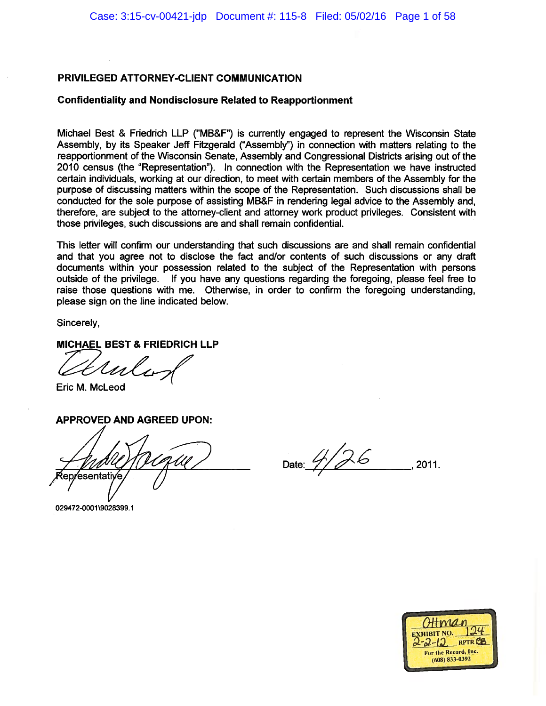#### **Confidentiality and Nondisclosure Related to Reapportionment**

Michael Best & Friedrich LLP ("MB&F") is currently engaged to represent the Wisconsin State Assembly, by its Speaker Jeff Fitzgerald ("Assembly") in connection with matters relating to the reapportionment of the Wisconsin Senate, Assembly and Congressional Districts arising out of the 2010 census (the "Representation"). In connection with the Representation we have instructed certain individuals, working at our direction, to meet with certain members of the Assembly for the purpose of discussing matters within the scope of the Representation. Such discussions shall be conducted for the sole purpose of assisting MB&F in rendering legal advice to the Assembly and, therefore, are subject to the attorney-client and attorney work product privileges. Consistent with those privileges, such discussions are and shall remain confidential.

This letter will confirm our understanding that such discussions are and shall remain confidential and that you agree not to disclose the fact and/or contents of such discussions or any draft documents within your possession related to the subject of the Representation with persons outside of the privilege. If you have any questions regarding the foregoing, please feel free to raise those questions with me. Otherwise, in order to confirm the foregoing understanding, please sign on the line indicated below.

Sincerely,

**MICHAEL BEST & FRIEDRICH LLP** 

Usl s-

Eric M. McLeod

**APPROVED AND AGREED UPON:** 

epresentative

Date: 4/26 2011.

029472-0001\9028399.1

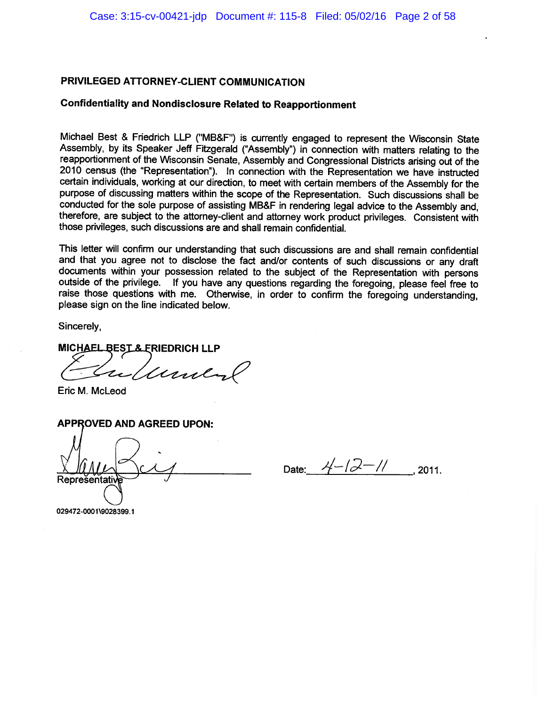## **Confidentiality and Nondisclosure Related to Reapportionment**

Michael Best & Friedrich LLP ("MB&F") is currently engaged to represent the Wisconsin State Assembly, by its Speaker Jeff Fitzgerald ("Assembly") in connection with matters relating to the reapportionment of the Wisconsin Senate, Assembly and Congressional Districts arising out of the 2010 census (the "Representation"). In connection with the Representation we have instructed certain individuals, working at our direction, to meet with certain members of the Assembly for the purpose of discussing matters within the scope of the Representation. Such discussions shall be conducted for the sole purpose of assisting MB&F in rendering legal advice to the Assembly and, therefore, are subject to the attorney-client and attorney work product privileges. Consistent with those privileges, such discussions are and shall remain confidential.

This letter will confirm our understanding that such discussions are and shall remain confidential and that you agree not to disclose the fact and/or contents of such discussions or any draft documents within your possession related to the subject of the Representation with persons outside of the privilege. If you have any questions regarding the foregoing, please feel free to raise those questions with me. Otherwise, in order to confirm the foregoing understanding, please sign on the line indicated below.

Sincerely,

MICHAEL BEST & ERIEDRICH LLP

Lunder

Eric M. McLeod

**APPROVED AND AGREED UPON:** 

Reprešentativ

Date:  $4-\sqrt{2}-11$ , 2011.

029472-0001\9028399.1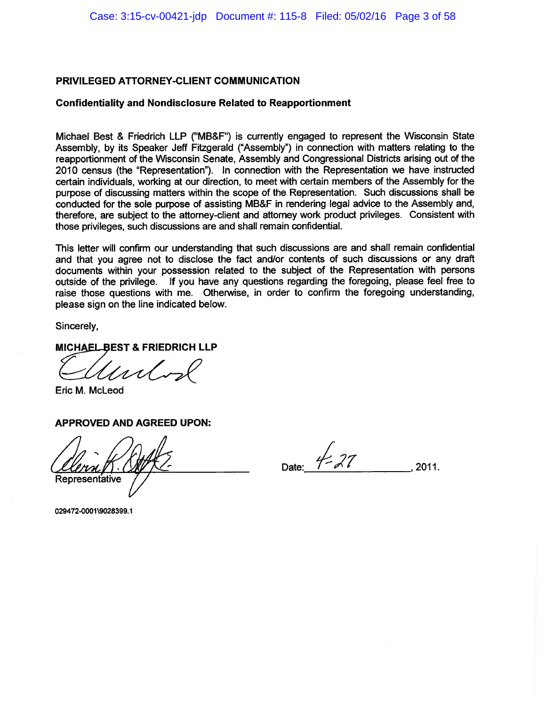### **Confidentiality and Nondisclosure Related to Reapportionment**

Michael Best & Friedrich LLP ("MB&F") is currently engaged to represent the Wisconsin State Assembly, by its Speaker Jeff Fitzgerald ("Assembly") in connection with matters relating to the reapportionment of the Wisconsin Senate, Assembly and Congressional Districts arising out of the 2010 census (the "Representation"). In connection with the Representation we have instructed certain individuals, working at our direction, to meet with certain members of the Assembly for the purpose of discussing matters within the scope of the Representation. Such discussions shall be conducted for the sole purpose of assisting MB&F in rendering legal advice to the Assembly and, therefore, are subject to the attorney-client and attorney work product privileges. Consistent with those privileges, such discussions are and shall remain confidential.

This letter will confirm our understanding that such discussions are and shall remain confidential and that you agree not to disclose the fact and/or contents of such discussions or any draft documents within your possession related to the subject of the Representation with persons outside of the privilege. If you have any questions regarding the foregoing, please feel free to raise those questions with me. Otherwise, in order to confirm the foregoing understanding, please sign on the line indicated below.

Sincerely,

**MICHAEL BEST & FRIEDRICH LLP** 

Eric M. McLeod

**APPROVED AND AGREED UPON:** 

Representative

Date:  $\frac{1}{2}$ 

2011.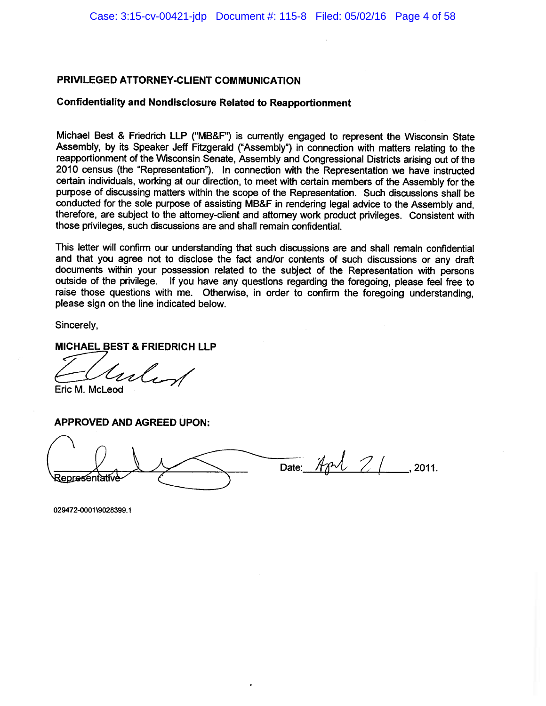#### **Confidentiality and Nondisclosure Related to Reapportionment**

Michael Best & Friedrich LLP ("MB&F") is currently engaged to represent the Wisconsin State Assembly, by its Speaker Jeff Fitzgerald ("Assembly") in connection with matters relating to the reapportionment of the Wisconsin Senate, Assembly and Congressional Districts arising out of the 2010 census (the "Representation"). In connection with the Representation we have instructed certain individuals, working at our direction, to meet with certain members of the Assembly for the purpose of discussing matters within the scope of the Representation. Such discussions shall be conducted for the sole purpose of assisting MB&F in rendering legal advice to the Assembly and. therefore, are subject to the attorney-client and attorney work product privileges. Consistent with those privileges, such discussions are and shall remain confidential.

This letter will confirm our understanding that such discussions are and shall remain confidential and that you agree not to disclose the fact and/or contents of such discussions or any draft documents within your possession related to the subject of the Representation with persons outside of the privilege. If you have any questions regarding the foregoing, please feel free to raise those questions with me. Otherwise, in order to confirm the foregoing understanding. please sign on the line indicated below.

Sincerely,

**MICHAEL BEST & FRIEDRICH LLP** 

,<br>,,,l,

Eric M. McLeod

**APPROVED AND AGREED UPON:** 

Date: Apr $121$ 2011. Representativ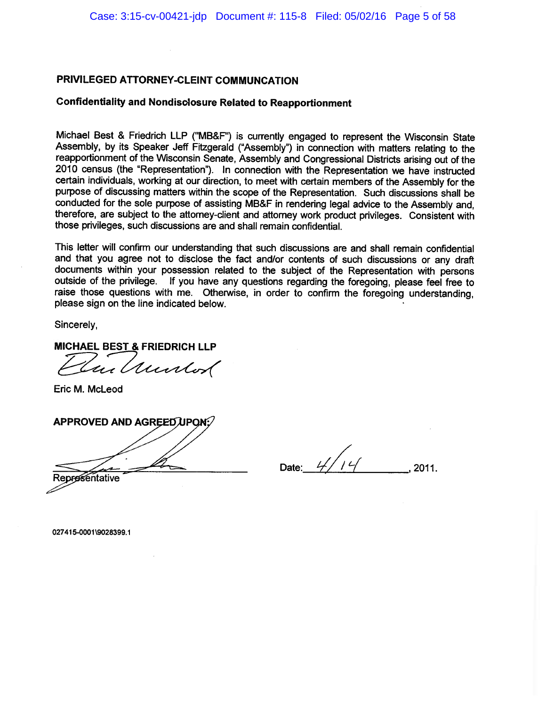### **Confidentiality and Nondisclosure Related to Reapportionment**

Michael Best & Friedrich LLP ("MB&F") is currently engaged to represent the Wisconsin State Assembly, by its Speaker Jeff Fitzgerald ("Assembly") in connection with matters relating to the reapportionment of the Wisconsin Senate, Assembly and Congressional Districts arising out of the 2010 census (the "Representation"). In connection with the Representation we have instructed certain individuals, working at our direction, to meet with certain members of the Assembly for the purpose of discussing matters within the scope of the Representation. Such discussions shall be conducted for the sole purpose of assisting MB&F in rendering legal advice to the Assembly and. therefore, are subject to the attorney-client and attorney work product privileges. Consistent with those privileges, such discussions are and shall remain confidential.

This letter will confirm our understanding that such discussions are and shall remain confidential and that you agree not to disclose the fact and/or contents of such discussions or any draft documents within your possession related to the subject of the Representation with persons outside of the privilege. If you have any questions regarding the foregoing, please feel free to raise those questions with me. Otherwise, in order to confirm the foregoing understanding, please sign on the line indicated below.

Sincerely.

MICHAEL BEST & FRIEDRICH LLP

in Quintos

Eric M. McLeod

**APPROVED AND AGREED UPON** 

Date:  $4/14$ 2011.

Representative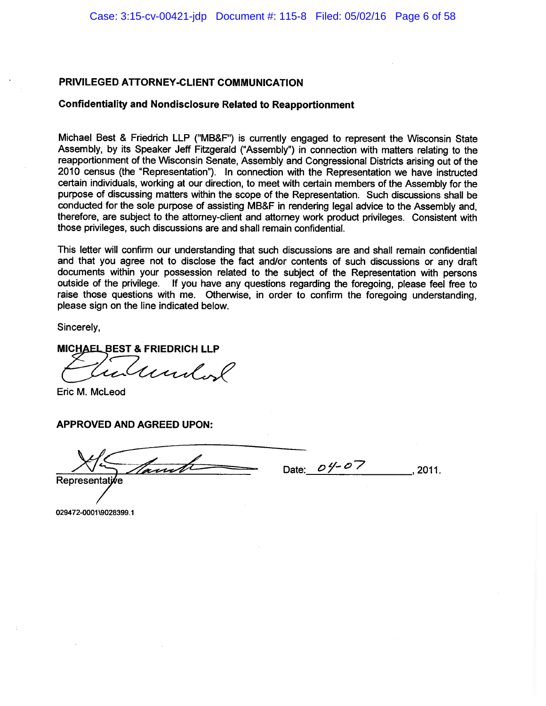#### **Confidentiality and Nondisclosure Related to Reapportionment**

Michael Best & Friedrich LLP ("MB&F") is currently engaged to represent the Wisconsin State Assembly, by its Speaker Jeff Fitzgerald ("Assembly") in connection with matters relating to the reapportionment of the Wisconsin Senate, Assembly and Congressional Districts arising out of the 2010 census (the "Representation"). In connection with the Representation we have instructed certain individuals, working at our direction, to meet with certain members of the Assembly for the purpose of discussing matters within the scope of the Representation. Such discussions shall be conducted for the sole purpose of assisting MB&F in rendering legal advice to the Assembly and. therefore, are subject to the attorney-client and attorney work product privileges. Consistent with those privileges, such discussions are and shall remain confidential.

This letter will confirm our understanding that such discussions are and shall remain confidential and that you agree not to disclose the fact and/or contents of such discussions or any draft documents within your possession related to the subject of the Representation with persons outside of the privilege. If you have any questions regarding the foregoing, please feel free to raise those questions with me. Otherwise, in order to confirm the foregoing understanding. please sign on the line indicated below.

Sincerely,

**MICHAEL BEST & FRIEDRICH LLP** 

undol

Eric M. McLeod

**APPROVED AND AGREED UPON:** 

unt Representat

Date:  $0\frac{y}{z}0\frac{z}{z}$  $.2011.$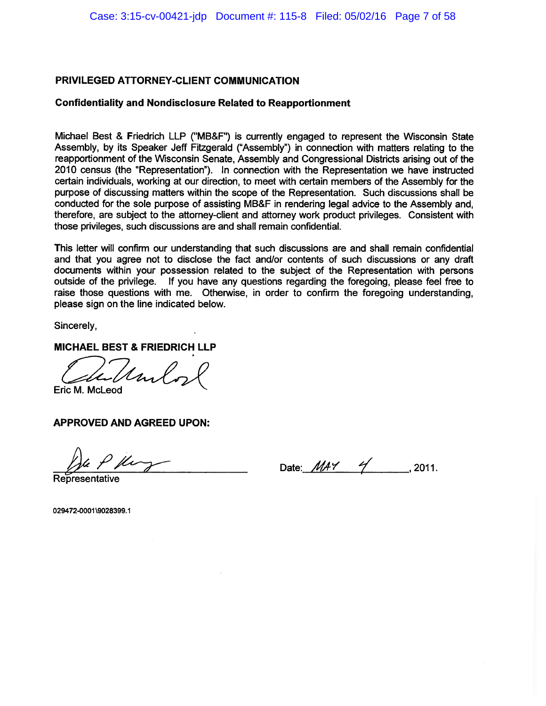### **Confidentiality and Nondisclosure Related to Reapportionment**

Michael Best & Friedrich LLP ("MB&F") is currently engaged to represent the Wisconsin State Assembly, by its Speaker Jeff Fitzgerald ("Assembly") in connection with matters relating to the reapportionment of the Wisconsin Senate, Assembly and Congressional Districts arising out of the 2010 census (the "Representation"). In connection with the Representation we have instructed certain individuals, working at our direction, to meet with certain members of the Assembly for the purpose of discussing matters within the scope of the Representation. Such discussions shall be conducted for the sole purpose of assisting MB&F in rendering legal advice to the Assembly and, therefore, are subject to the attorney-client and attorney work product privileges. Consistent with those privileges, such discussions are and shall remain confidential.

This letter will confirm our understanding that such discussions are and shall remain confidential and that you agree not to disclose the fact and/or contents of such discussions or any draft documents within your possession related to the subject of the Representation with persons outside of the privilege. If you have any questions regarding the foregoing, please feel free to raise those questions with me. Otherwise, in order to confirm the foregoing understanding, please sign on the line indicated below.

Sincerely,

**MICHAEL BEST & FRIEDRICH LLP** 

Mul

Eric M. McLeod

**APPROVED AND AGREED UPON:** 

Date:  $\mathcal{M}$ AY 4 ... 2011.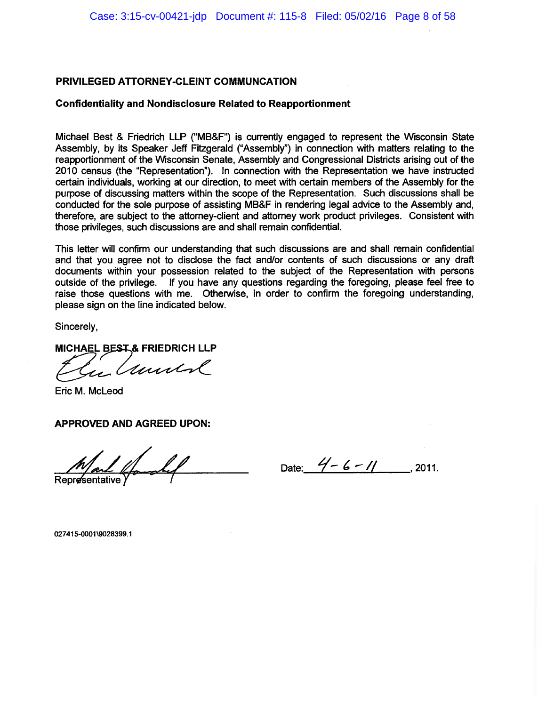#### **Confidentiality and Nondisclosure Related to Reapportionment**

Michael Best & Friedrich LLP ("MB&F") is currently engaged to represent the Wisconsin State Assembly, by its Speaker Jeff Fitzgerald ("Assembly") in connection with matters relating to the reapportionment of the Wisconsin Senate, Assembly and Congressional Districts arising out of the 2010 census (the "Representation"). In connection with the Representation we have instructed certain individuals, working at our direction, to meet with certain members of the Assembly for the purpose of discussing matters within the scope of the Representation. Such discussions shall be conducted for the sole purpose of assisting MB&F in rendering legal advice to the Assembly and, therefore, are subject to the attorney-client and attorney work product privileges. Consistent with those privileges, such discussions are and shall remain confidential.

This letter will confirm our understanding that such discussions are and shall remain confidential and that you agree not to disclose the fact and/or contents of such discussions or any draft documents within your possession related to the subject of the Representation with persons outside of the privilege. If you have any questions regarding the foregoing, please feel free to raise those questions with me. Otherwise, in order to confirm the foregoing understanding, please sign on the line indicated below.

Sincerely,

MICHAEL BEST & FRIEDRICH LLP

und

Eric M. McLeod

**APPROVED AND AGREED UPON:** 

**Representative** 

Date:  $4-6-11$  . 2011.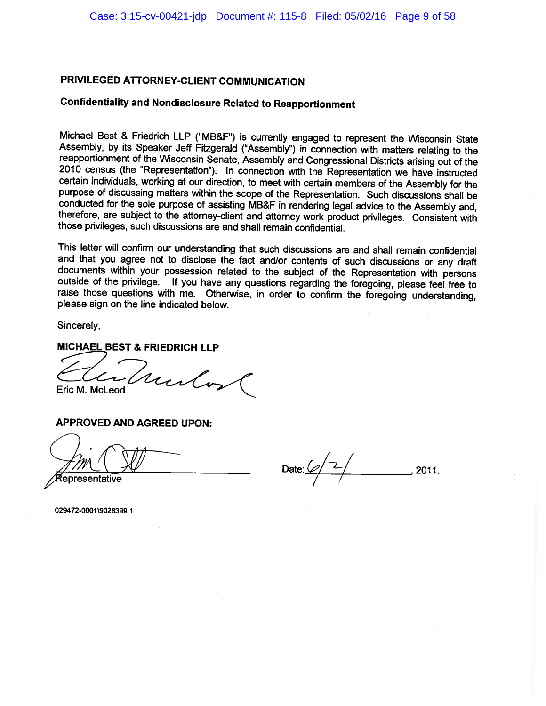# **Confidentiality and Nondisclosure Related to Reapportionment**

Michael Best & Friedrich LLP ("MB&F") is currently engaged to represent the Wisconsin State Assembly, by its Speaker Jeff Fitzgerald ("Assembly") in connection with matters relating to the reapportionment of the Wisconsin Senate, Assembly and Congressional Districts arising out of the 2010 census (the "Representation"). In connection with the Representation we have instructed certain individuals, working at our direction, to meet with certain members of the Assembly for the purpose of discussing matters within the scope of the Representation. Such discussions shall be conducted for the sole purpose of assisting MB&F in rendering legal advice to the Assembly and, therefore, are subject to the attorney-client and attorney work product privileges. Consistent with those privileges, such discussions are and shall remain confidential.

This letter will confirm our understanding that such discussions are and shall remain confidential and that you agree not to disclose the fact and/or contents of such discussions or any draft documents within your possession related to the subject of the Representation with persons outside of the privilege. If you have any questions regarding the foregoing, please feel free to raise those questions with me. Otherwise, in order to confirm the foregoing understanding, please sign on the line indicated below.

Sincerely.

#### **MICHAEL BEST & FRIEDRICH LLP**

Mulos Eric M. McLeod

APPROVED AND AGREED UPON:

epresentative!

Date:  $\mathscr{Q}_1$  $-$  , 2011.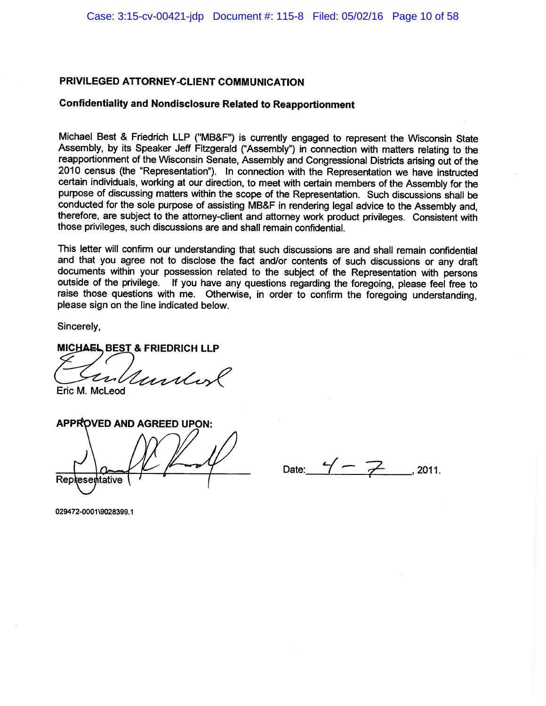### **Confidentiality and Nondisclosure Related to Reapportionment**

Michael Best & Friedrich LLP ("MB&F") is currently engaged to represent the Wisconsin State Assembly, by its Speaker Jeff Fitzgerald ("Assembly") in connection with matters relating to the reapportionment of the Wisconsin Senate, Assembly and Congressional Districts arising out of the 2010 census (the "Representation"). In connection with the Representation we have instructed certain individuals, working at our direction, to meet with certain members of the Assembly for the purpose of discussing matters within the scope of the Representation. Such discussions shall be conducted for the sole purpose of assisting MB&F in rendering legal advice to the Assembly and, therefore, are subject to the attorney-client and attorney work product privileges. Consistent with those privileges, such discussions are and shall remain confidential.

This letter will confirm our understanding that such discussions are and shall remain confidential and that you agree not to disclose the fact and/or contents of such discussions or any draft documents within your possession related to the subject of the Representation with persons outside of the privilege. If you have any questions regarding the foregoing, please feel free to raise those questions with me. Otherwise, in order to confirm the foregoing understanding, please sign on the line indicated below.

Sincerely,

MICHAEL BEST & FRIEDRICH LLP

Under Eric M. McLeod

**APPROVED AND AGREED UPON: Representative** 

Date:  $4 - 7$  2011.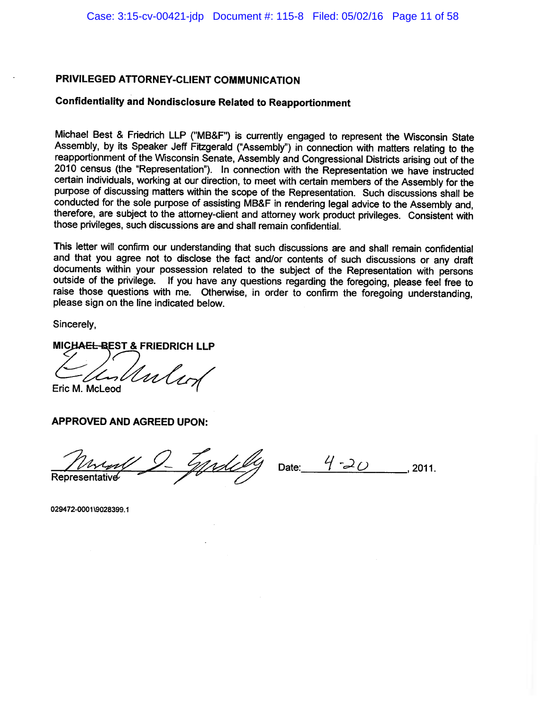### **Confidentiality and Nondisclosure Related to Reapportionment**

Michael Best & Friedrich LLP ("MB&F") is currently engaged to represent the Wisconsin State Assembly, by its Speaker Jeff Fitzgerald ("Assembly") in connection with matters relating to the reapportionment of the Wisconsin Senate, Assembly and Congressional Districts arising out of the 2010 census (the "Representation"). In connection with the Representation we have instructed certain individuals, working at our direction, to meet with certain members of the Assembly for the purpose of discussing matters within the scope of the Representation. Such discussions shall be conducted for the sole purpose of assisting MB&F in rendering legal advice to the Assembly and. therefore, are subject to the attorney-client and attorney work product privileges. Consistent with those privileges, such discussions are and shall remain confidential.

This letter will confirm our understanding that such discussions are and shall remain confidential and that you agree not to disclose the fact and/or contents of such discussions or any draft documents within your possession related to the subject of the Representation with persons outside of the privilege. If you have any questions regarding the foregoing, please feel free to raise those questions with me. Otherwise, in order to confirm the foregoing understanding. please sign on the line indicated below.

Sincerely,

MICHAEL-BEST & FRIEDRICH LLP

Unley Eric M. McLeod

**APPROVED AND AGREED UPON:** 

<u>tyrdelly</u>

Date:  $4-20$  $.2011.$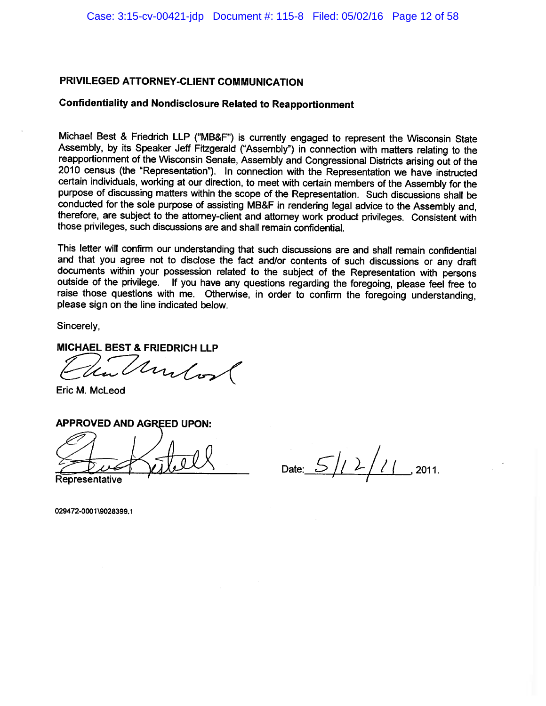### **Confidentiality and Nondisclosure Related to Reapportionment**

Michael Best & Friedrich LLP ("MB&F") is currently engaged to represent the Wisconsin State Assembly, by its Speaker Jeff Fitzgerald ("Assembly") in connection with matters relating to the reapportionment of the Wisconsin Senate, Assembly and Congressional Districts arising out of the 2010 census (the "Representation"). In connection with the Representation we have instructed certain individuals, working at our direction, to meet with certain members of the Assembly for the purpose of discussing matters within the scope of the Representation. Such discussions shall be conducted for the sole purpose of assisting MB&F in rendering legal advice to the Assembly and, therefore, are subject to the attorney-client and attorney work product privileges. Consistent with those privileges, such discussions are and shall remain confidential.

This letter will confirm our understanding that such discussions are and shall remain confidential and that you agree not to disclose the fact and/or contents of such discussions or any draft documents within your possession related to the subject of the Representation with persons outside of the privilege. If you have any questions regarding the foregoing, please feel free to raise those questions with me. Otherwise, in order to confirm the foregoing understanding, please sign on the line indicated below.

Sincerely,

### MICHAEL BEST & FRIEDRICH LLP

Undos

Eric M. McLeod

### **APPROVED AND AGREED UPON:**

Date:  $5/1/7/7$ , 2011.

Representative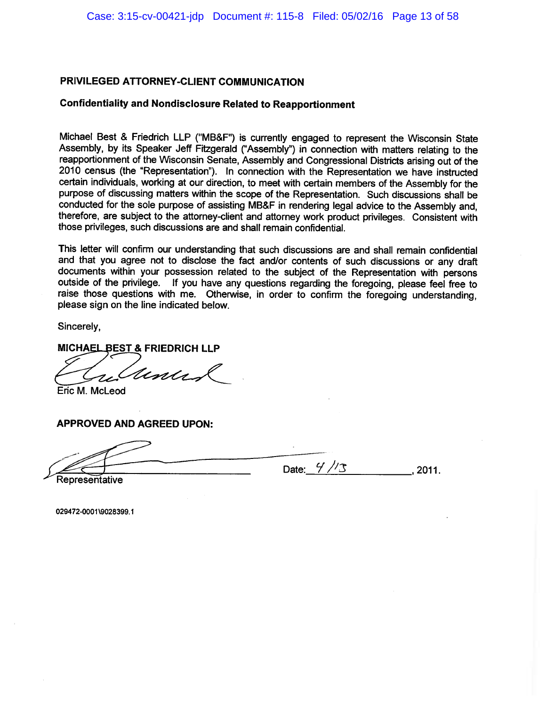#### **Confidentiality and Nondisclosure Related to Reapportionment**

Michael Best & Friedrich LLP ("MB&F") is currently engaged to represent the Wisconsin State Assembly, by its Speaker Jeff Fitzgerald ("Assembly") in connection with matters relating to the reapportionment of the Wisconsin Senate, Assembly and Congressional Districts arising out of the 2010 census (the "Representation"). In connection with the Representation we have instructed certain individuals, working at our direction, to meet with certain members of the Assembly for the purpose of discussing matters within the scope of the Representation. Such discussions shall be conducted for the sole purpose of assisting MB&F in rendering legal advice to the Assembly and, therefore, are subject to the attorney-client and attorney work product privileges. Consistent with those privileges, such discussions are and shall remain confidential.

This letter will confirm our understanding that such discussions are and shall remain confidential and that you agree not to disclose the fact and/or contents of such discussions or any draft documents within your possession related to the subject of the Representation with persons outside of the privilege. If you have any questions regarding the foregoing, please feel free to raise those questions with me. Otherwise, in order to confirm the foregoing understanding, please sign on the line indicated below.

Sincerely,

MICHAEL BEST & FRIEDRICH LLP

Unis

Eric M. McLeod

### **APPROVED AND AGREED UPON:**

Date:  $\frac{4}{3}$  $.2011.$ 

Representative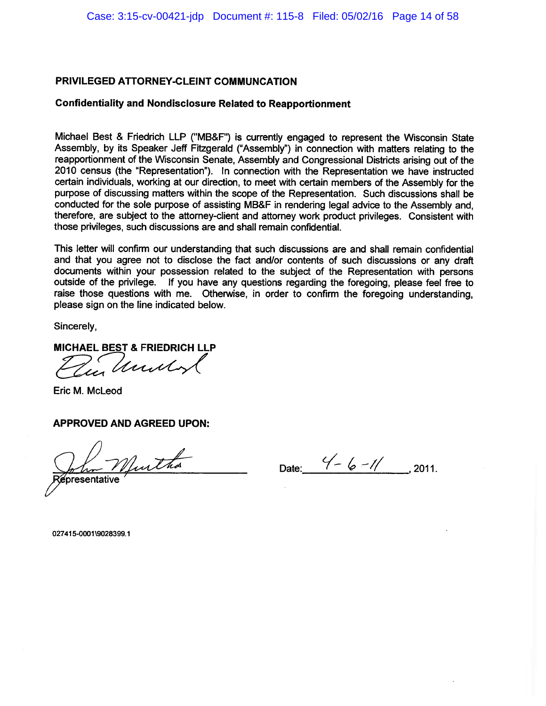### **Confidentiality and Nondisclosure Related to Reapportionment**

Michael Best & Friedrich LLP ("MB&F") is currently engaged to represent the Wisconsin State Assembly, by its Speaker Jeff Fitzgerald ("Assembly") in connection with matters relating to the reapportionment of the Wisconsin Senate, Assembly and Congressional Districts arising out of the 2010 census (the "Representation"). In connection with the Representation we have instructed certain individuals, working at our direction, to meet with certain members of the Assembly for the purpose of discussing matters within the scope of the Representation. Such discussions shall be conducted for the sole purpose of assisting MB&F in rendering legal advice to the Assembly and. therefore, are subject to the attorney-client and attorney work product privileges. Consistent with those privileges, such discussions are and shall remain confidential.

This letter will confirm our understanding that such discussions are and shall remain confidential and that you agree not to disclose the fact and/or contents of such discussions or any draft documents within your possession related to the subject of the Representation with persons outside of the privilege. If you have any questions regarding the foregoing, please feel free to raise those questions with me. Otherwise, in order to confirm the foregoing understanding. please sign on the line indicated below.

Sincerely,

MICHAEL BEST & FRIEDRICH LLP

Zur Unily

Eric M. McLeod

**APPROVED AND AGREED UPON:** 

In Murtha presentative

Date:  $\frac{4}{6} - \frac{1}{1}$ , 2011.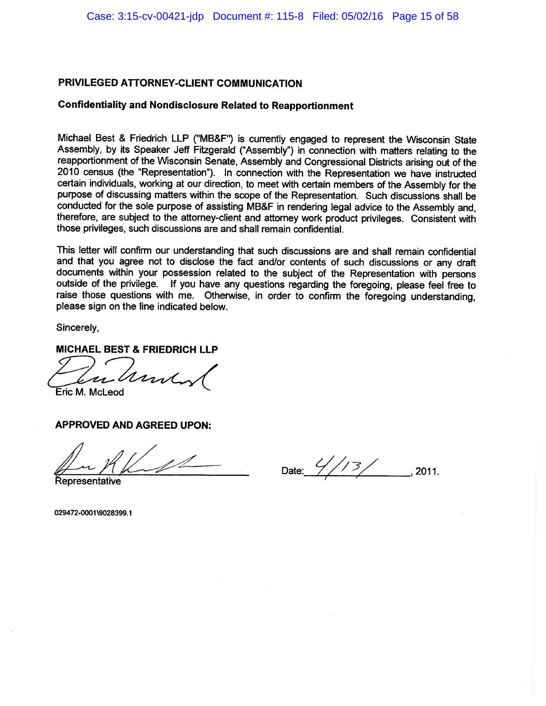### **Confidentiality and Nondisclosure Related to Reapportionment**

Michael Best & Friedrich LLP ("MB&F") is currently engaged to represent the Wisconsin State Assembly, by its Speaker Jeff Fitzgerald ("Assembly") in connection with matters relating to the reapportionment of the Wisconsin Senate, Assembly and Congressional Districts arising out of the 2010 census (the "Representation"). In connection with the Representation we have instructed certain individuals, working at our direction, to meet with certain members of the Assembly for the purpose of discussing matters within the scope of the Representation. Such discussions shall be conducted for the sole purpose of assisting MB&F in rendering legal advice to the Assembly and. therefore, are subject to the attorney-client and attorney work product privileges. Consistent with those privileges, such discussions are and shall remain confidential.

This letter will confirm our understanding that such discussions are and shall remain confidential and that you agree not to disclose the fact and/or contents of such discussions or any draft documents within your possession related to the subject of the Representation with persons outside of the privilege. If you have any questions regarding the foregoing, please feel free to raise those questions with me. Otherwise, in order to confirm the foregoing understanding. please sign on the line indicated below.

Sincerely,

### **MICHAEL BEST & FRIEDRICH LLP**

ume

Eric M. McLeod

**APPROVED AND AGREED UPON:** 

Date:  $\frac{2}{7}$ 2011.

**Representative**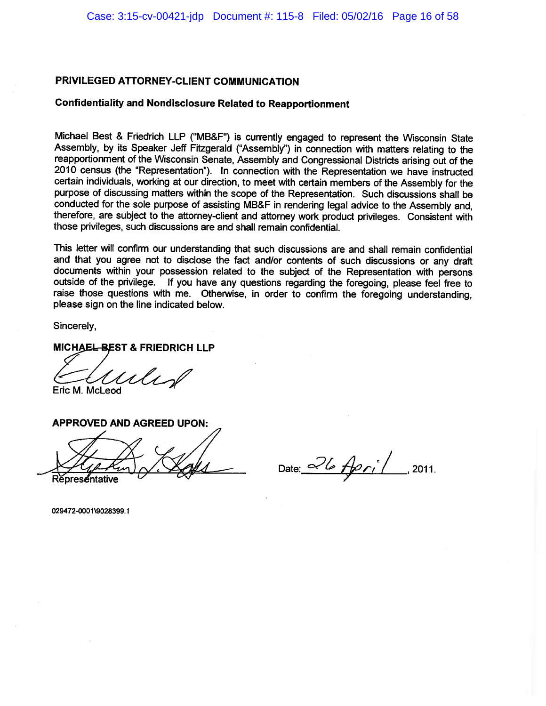## **Confidentiality and Nondisclosure Related to Reapportionment**

Michael Best & Friedrich LLP ("MB&F") is currently engaged to represent the Wisconsin State Assembly, by its Speaker Jeff Fitzgerald ("Assembly") in connection with matters relating to the reapportionment of the Wisconsin Senate, Assembly and Congressional Districts arising out of the 2010 census (the "Representation"). In connection with the Representation we have instructed certain individuals, working at our direction, to meet with certain members of the Assembly for the purpose of discussing matters within the scope of the Representation. Such discussions shall be conducted for the sole purpose of assisting MB&F in rendering legal advice to the Assembly and, therefore, are subject to the attorney-client and attorney work product privileges. Consistent with those privileges, such discussions are and shall remain confidential.

This letter will confirm our understanding that such discussions are and shall remain confidential and that you agree not to disclose the fact and/or contents of such discussions or any draft documents within your possession related to the subject of the Representation with persons outside of the privilege. If you have any questions regarding the foregoing, please feel free to raise those questions with me. Otherwise, in order to confirm the foregoing understanding. please sign on the line indicated below.

Sincerely,

MICHAEL-BEST & FRIEDRICH LLP

uls d Eric M. McLeod



Date:  $26$  April 2011.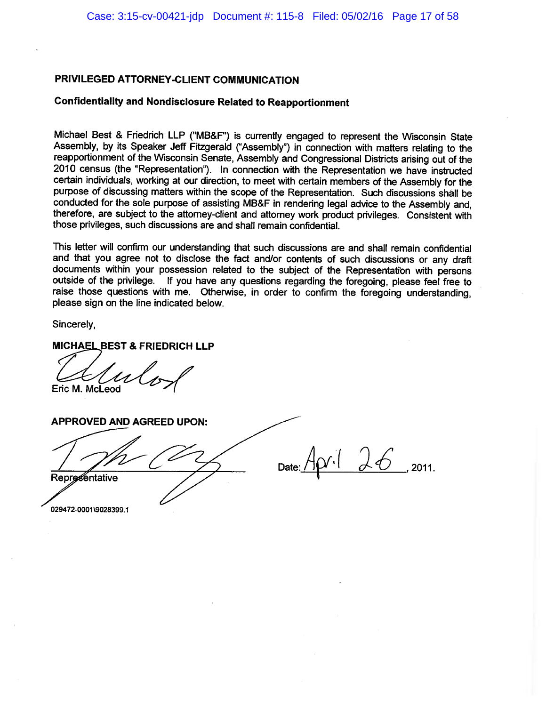## **Confidentiality and Nondisclosure Related to Reapportionment**

Michael Best & Friedrich LLP ("MB&F") is currently engaged to represent the Wisconsin State Assembly, by its Speaker Jeff Fitzgerald ("Assembly") in connection with matters relating to the reapportionment of the Wisconsin Senate, Assembly and Congressional Districts arising out of the 2010 census (the "Representation"). In connection with the Representation we have instructed certain individuals, working at our direction, to meet with certain members of the Assembly for the purpose of discussing matters within the scope of the Representation. Such discussions shall be conducted for the sole purpose of assisting MB&F in rendering legal advice to the Assembly and, therefore, are subject to the attorney-client and attorney work product privileges. Consistent with those privileges, such discussions are and shall remain confidential.

This letter will confirm our understanding that such discussions are and shall remain confidential and that you agree not to disclose the fact and/or contents of such discussions or any draft documents within your possession related to the subject of the Representation with persons outside of the privilege. If you have any questions regarding the foregoing, please feel free to raise those questions with me. Otherwise, in order to confirm the foregoing understanding, please sign on the line indicated below.

Sincerely,

**MICHAEL BEST & FRIEDRICH LLP** 

Eric M. McLeod

**APPROVED AND AGREED UPON:**  $x\downarrow26$ 2011. **Representative**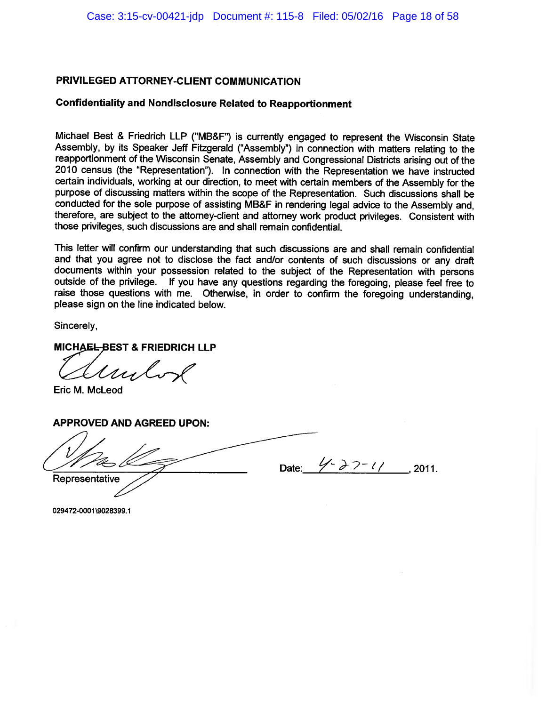# **Confidentiality and Nondisclosure Related to Reapportionment**

Michael Best & Friedrich LLP ("MB&F") is currently engaged to represent the Wisconsin State Assembly, by its Speaker Jeff Fitzgerald ("Assembly") in connection with matters relating to the reapportionment of the Wisconsin Senate, Assembly and Congressional Districts arising out of the 2010 census (the "Representation"). In connection with the Representation we have instructed certain individuals, working at our direction, to meet with certain members of the Assembly for the purpose of discussing matters within the scope of the Representation. Such discussions shall be conducted for the sole purpose of assisting MB&F in rendering legal advice to the Assembly and. therefore, are subject to the attorney-client and attorney work product privileges. Consistent with those privileges, such discussions are and shall remain confidential.

This letter will confirm our understanding that such discussions are and shall remain confidential and that you agree not to disclose the fact and/or contents of such discussions or any draft documents within your possession related to the subject of the Representation with persons outside of the privilege. If you have any questions regarding the foregoing, please feel free to raise those questions with me. Otherwise, in order to confirm the foregoing understanding. please sign on the line indicated below.

Sincerely,

MICHAEL-BEST & FRIEDRICH LLP

My

Eric M. McLeod

**APPROVED AND AGREED UPON:** 

 $4 - 27 - 11$ , 2011. Date:

Representative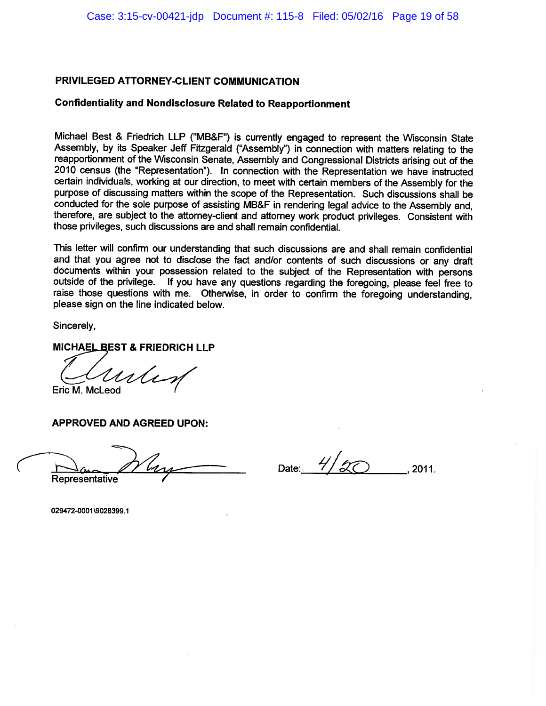# **Confidentiality and Nondisclosure Related to Reapportionment**

Michael Best & Friedrich LLP ("MB&F") is currently engaged to represent the Wisconsin State Assembly, by its Speaker Jeff Fitzgerald ("Assembly") in connection with matters relating to the reapportionment of the Wisconsin Senate, Assembly and Congressional Districts arising out of the 2010 census (the "Representation"). In connection with the Representation we have instructed certain individuals, working at our direction, to meet with certain members of the Assembly for the purpose of discussing matters within the scope of the Representation. Such discussions shall be conducted for the sole purpose of assisting MB&F in rendering legal advice to the Assembly and, therefore, are subject to the attorney-client and attorney work product privileges. Consistent with those privileges, such discussions are and shall remain confidential.

This letter will confirm our understanding that such discussions are and shall remain confidential and that you agree not to disclose the fact and/or contents of such discussions or any draft documents within your possession related to the subject of the Representation with persons outside of the privilege. If you have any questions regarding the foregoing, please feel free to raise those questions with me. Otherwise, in order to confirm the foregoing understanding. please sign on the line indicated below.

Sincerely,

MICHAEL BEST & FRIEDRICH LLP

 $\mathcal{U}$ Eric M. McLeod

**APPROVED AND AGREED UPON:** 

Representative

Date:

2011.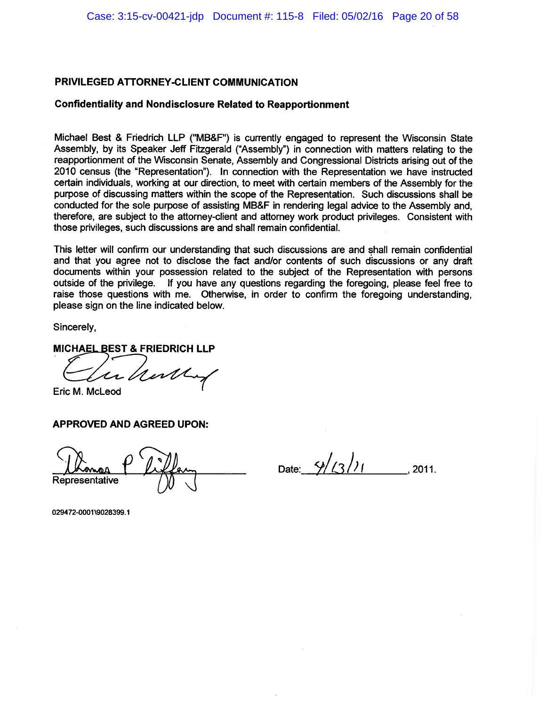### **Confidentiality and Nondisclosure Related to Reapportionment**

Michael Best & Friedrich LLP ("MB&F") is currently engaged to represent the Wisconsin State Assembly, by its Speaker Jeff Fitzgerald ("Assembly") in connection with matters relating to the reapportionment of the Wisconsin Senate, Assembly and Congressional Districts arising out of the 2010 census (the "Representation"). In connection with the Representation we have instructed certain individuals, working at our direction, to meet with certain members of the Assembly for the purpose of discussing matters within the scope of the Representation. Such discussions shall be conducted for the sole purpose of assisting MB&F in rendering legal advice to the Assembly and, therefore, are subject to the attorney-client and attorney work product privileges. Consistent with those privileges, such discussions are and shall remain confidential.

This letter will confirm our understanding that such discussions are and shall remain confidential and that you agree not to disclose the fact and/or contents of such discussions or any draft documents within your possession related to the subject of the Representation with persons outside of the privilege. If you have any questions regarding the foregoing, please feel free to raise those questions with me. Otherwise, in order to confirm the foregoing understanding, please sign on the line indicated below.

Sincerely,

MICHAEL BEST & FRIEDRICH LLP

willy

Eric M. McLeod

## **APPROVED AND AGREED UPON:**

Representative

Date:  $\frac{4}{2}/(3)$  $.2011.$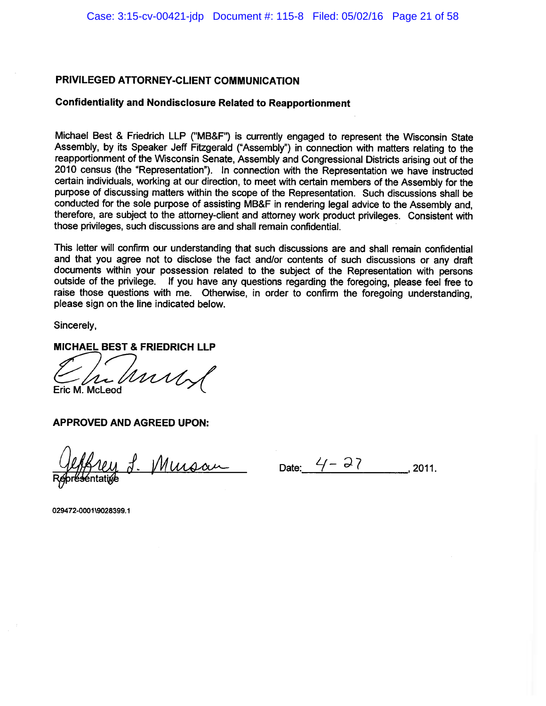### **Confidentiality and Nondisclosure Related to Reapportionment**

Michael Best & Friedrich LLP ("MB&F") is currently engaged to represent the Wisconsin State Assembly, by its Speaker Jeff Fitzgerald ("Assembly") in connection with matters relating to the reapportionment of the Wisconsin Senate, Assembly and Congressional Districts arising out of the 2010 census (the "Representation"). In connection with the Representation we have instructed certain individuals, working at our direction, to meet with certain members of the Assembly for the purpose of discussing matters within the scope of the Representation. Such discussions shall be conducted for the sole purpose of assisting MB&F in rendering legal advice to the Assembly and, therefore, are subject to the attorney-client and attorney work product privileges. Consistent with those privileges, such discussions are and shall remain confidential.

This letter will confirm our understanding that such discussions are and shall remain confidential and that you agree not to disclose the fact and/or contents of such discussions or any draft documents within your possession related to the subject of the Representation with persons outside of the privilege. If you have any questions regarding the foregoing, please feel free to raise those questions with me. Otherwise, in order to confirm the foregoing understanding. please sign on the line indicated below.

Sincerely,

**MICHAEL BEST & FRIEDRICH LLP** 

mul Eric M. McLeod

**APPROVED AND AGREED UPON:** 

1 J. <u>Mursan</u> Date: <u>4-27</u>, 2011.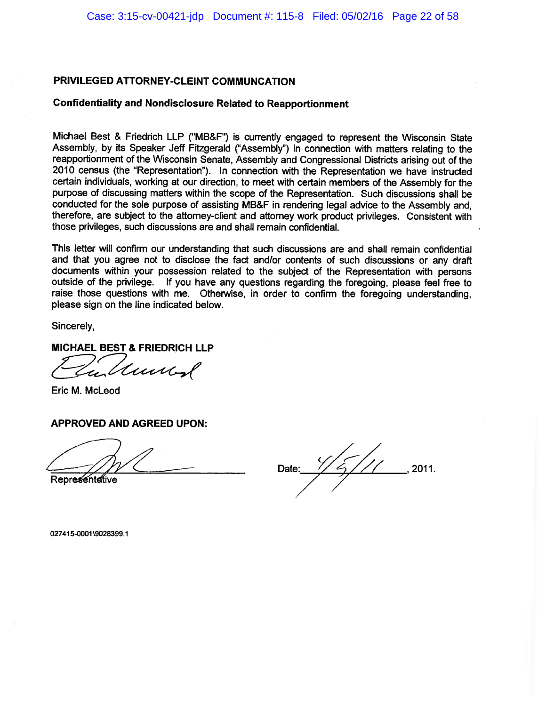### **Confidentiality and Nondisclosure Related to Reapportionment**

Michael Best & Friedrich LLP ("MB&F") is currently engaged to represent the Wisconsin State Assembly, by its Speaker Jeff Fitzgerald ("Assembly") in connection with matters relating to the reapportionment of the Wisconsin Senate, Assembly and Congressional Districts arising out of the 2010 census (the "Representation"). In connection with the Representation we have instructed certain individuals, working at our direction, to meet with certain members of the Assembly for the purpose of discussing matters within the scope of the Representation. Such discussions shall be conducted for the sole purpose of assisting MB&F in rendering legal advice to the Assembly and, therefore, are subject to the attorney-client and attorney work product privileges. Consistent with those privileges, such discussions are and shall remain confidential.

This letter will confirm our understanding that such discussions are and shall remain confidential and that you agree not to disclose the fact and/or contents of such discussions or any draft documents within your possession related to the subject of the Representation with persons outside of the privilege. If you have any questions regarding the foregoing, please feel free to raise those questions with me. Otherwise, in order to confirm the foregoing understanding. please sign on the line indicated below.

Sincerely.

**MICHAEL BEST & FRIEDRICH LLP** 

ulturent

Eric M. McLeod

### **APPROVED AND AGREED UPON:**

Representative

2011. Date: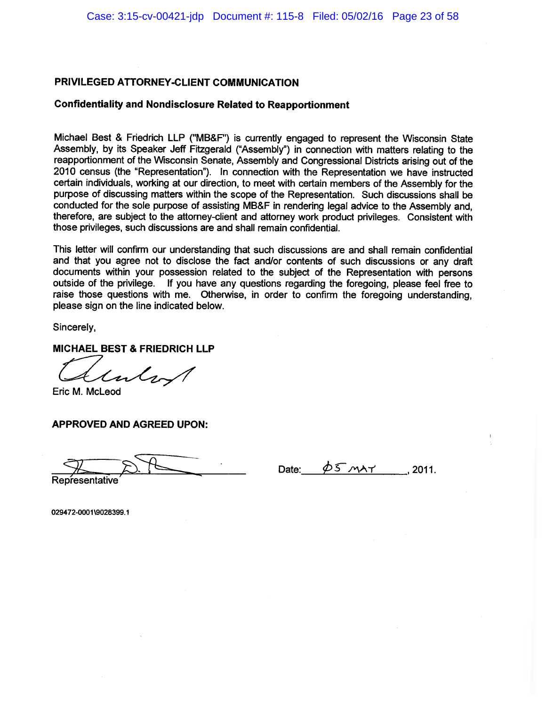#### **Confidentiality and Nondisclosure Related to Reapportionment**

Michael Best & Friedrich LLP ("MB&F") is currently engaged to represent the Wisconsin State Assembly, by its Speaker Jeff Fitzgerald ("Assembly") in connection with matters relating to the reapportionment of the Wisconsin Senate, Assembly and Congressional Districts arising out of the 2010 census (the "Representation"). In connection with the Representation we have instructed certain individuals, working at our direction, to meet with certain members of the Assembly for the purpose of discussing matters within the scope of the Representation. Such discussions shall be conducted for the sole purpose of assisting MB&F in rendering legal advice to the Assembly and, therefore, are subiect to the attorney-client and attorney work product privileges. Consistent with those privileges, such discussions are and shall remain confidential.

This letter will confirm our understanding that such discussions are and shall remain confidential and that you agree not to disclose the fact and/or contents of such discussions or any draft documents within your possession related to the subject of the Representation with persons outside of the privilege. If you have any questions regarding the foregoing, please feel free to raise those questions with me. Otherwise, in order to confirm the foregoing understanding, please sign on the line indicated below.

Sincerely,

**MICHAEL BEST & FRIEDRICH LLP** 

 $t$ ulsa

Eric M. McLeod

**APPROVED AND AGREED UPON:** 

Representative

D5 MAY Date: 2011.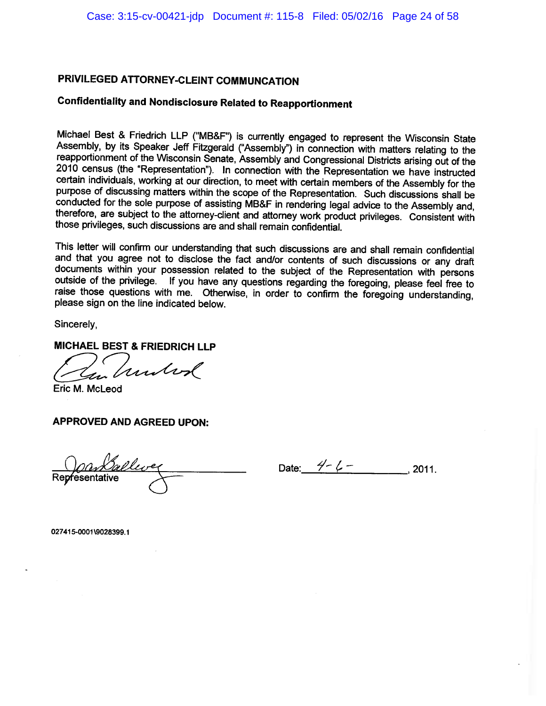# **Confidentiality and Nondisclosure Related to Reapportionment**

Michael Best & Friedrich LLP ("MB&F") is currently engaged to represent the Wisconsin State Assembly, by its Speaker Jeff Fitzgerald ("Assembly") in connection with matters relating to the reapportionment of the Wisconsin Senate, Assembly and Congressional Districts arising out of the 2010 census (the "Representation"). In connection with the Representation we have instructed certain individuals, working at our direction, to meet with certain members of the Assembly for the purpose of discussing matters within the scope of the Representation. Such discussions shall be conducted for the sole purpose of assisting MB&F in rendering legal advice to the Assembly and, therefore, are subject to the attorney-client and attorney work product privileges. Consistent with those privileges, such discussions are and shall remain confidential.

This letter will confirm our understanding that such discussions are and shall remain confidential and that you agree not to disclose the fact and/or contents of such discussions or any draft documents within your possession related to the subject of the Representation with persons outside of the privilege. If you have any questions regarding the foregoing, please feel free to raise those questions with me. Otherwise, in order to confirm the foregoing understanding. please sign on the line indicated below.

Sincerely,

**MICHAEL BEST & FRIEDRICH LLP** 

unbod

Eric M. McLeod

**APPROVED AND AGREED UPON:** 

Representative

Date:  $4-\ell$  - $.2011.$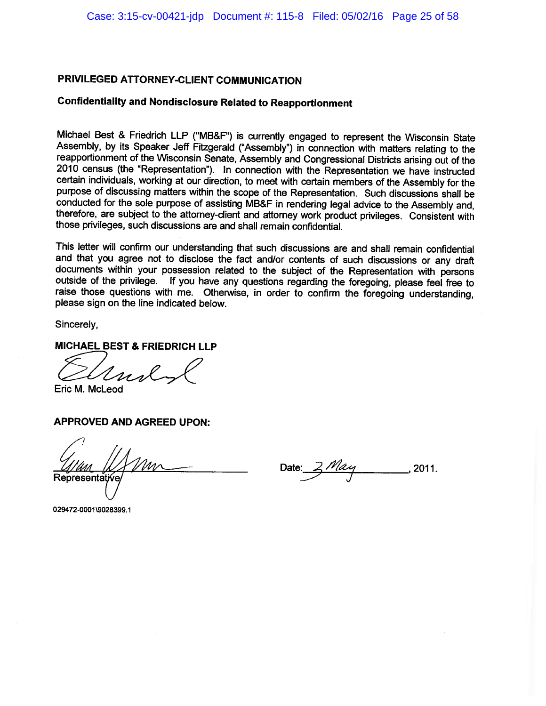# **Confidentiality and Nondisclosure Related to Reapportionment**

Michael Best & Friedrich LLP ("MB&F") is currently engaged to represent the Wisconsin State Assembly, by its Speaker Jeff Fitzgerald ("Assembly") in connection with matters relating to the reapportionment of the Wisconsin Senate, Assembly and Congressional Districts arising out of the 2010 census (the "Representation"). In connection with the Representation we have instructed certain individuals, working at our direction, to meet with certain members of the Assembly for the purpose of discussing matters within the scope of the Representation. Such discussions shall be conducted for the sole purpose of assisting MB&F in rendering legal advice to the Assembly and, therefore, are subject to the attorney-client and attorney work product privileges. Consistent with those privileges, such discussions are and shall remain confidential.

This letter will confirm our understanding that such discussions are and shall remain confidential and that you agree not to disclose the fact and/or contents of such discussions or any draft documents within your possession related to the subject of the Representation with persons outside of the privilege. If you have any questions regarding the foregoing, please feel free to raise those questions with me. Otherwise, in order to confirm the foregoing understanding, please sign on the line indicated below.

Sincerely,

**MICHAEL BEST & FRIEDRICH LLP** 

Eric M. McLeod

**APPROVED AND AGREED UPON:** 

**Representative** 

2011.

029472-0001\9028399.1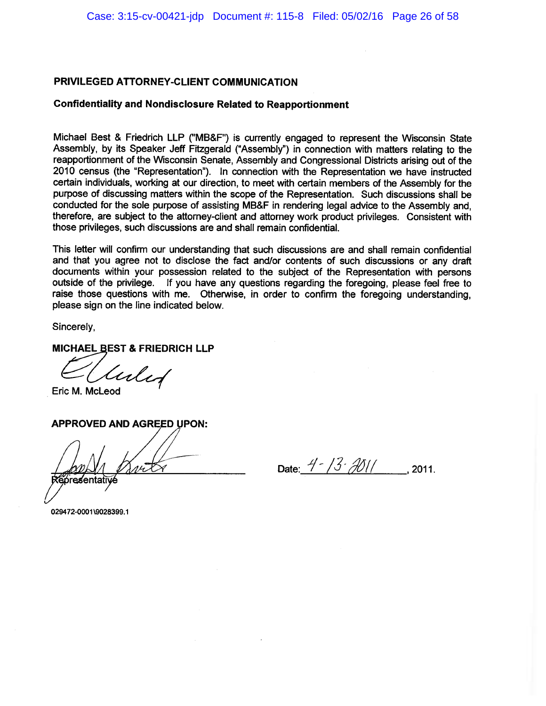#### **Confidentiality and Nondisclosure Related to Reapportionment**

Michael Best & Friedrich LLP ("MB&F") is currently engaged to represent the Wisconsin State Assembly, by its Speaker Jeff Fitzgerald ("Assembly") in connection with matters relating to the reapportionment of the Wisconsin Senate, Assembly and Congressional Districts arising out of the 2010 census (the "Representation"). In connection with the Representation we have instructed certain individuals, working at our direction, to meet with certain members of the Assembly for the purpose of discussing matters within the scope of the Representation. Such discussions shall be conducted for the sole purpose of assisting MB&F in rendering legal advice to the Assembly and, therefore, are subject to the attorney-client and attorney work product privileges. Consistent with those privileges, such discussions are and shall remain confidential.

This letter will confirm our understanding that such discussions are and shall remain confidential and that you agree not to disclose the fact and/or contents of such discussions or any draft documents within your possession related to the subject of the Representation with persons outside of the privilege. If you have any questions regarding the foregoing, please feel free to raise those questions with me. Otherwise, in order to confirm the foregoing understanding, please sign on the line indicated below.

Sincerely.

MICHAEL BEST & FRIEDRICH LLP

luled

Eric M. McLeod

### **APPROVED AND AGREED UPON:**

óresentati

Date:  $4 - 73 \cdot 2011$ , 2011.

029472-0001\9028399.1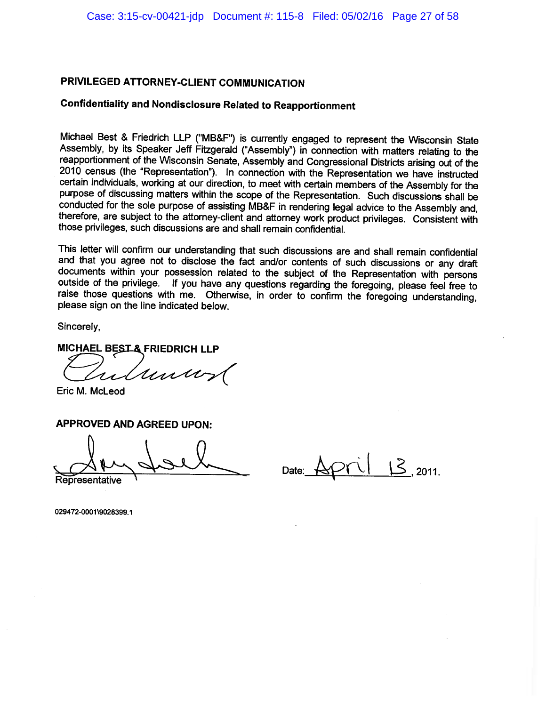# **Confidentiality and Nondisclosure Related to Reapportionment**

Michael Best & Friedrich LLP ("MB&F") is currently engaged to represent the Wisconsin State Assembly, by its Speaker Jeff Fitzgerald ("Assembly") in connection with matters relating to the reapportionment of the Wisconsin Senate, Assembly and Congressional Districts arising out of the 2010 census (the "Representation"). In connection with the Representation we have instructed certain individuals, working at our direction, to meet with certain members of the Assembly for the purpose of discussing matters within the scope of the Representation. Such discussions shall be conducted for the sole purpose of assisting MB&F in rendering legal advice to the Assembly and, therefore, are subject to the attorney-client and attorney work product privileges. Consistent with those privileges, such discussions are and shall remain confidential.

This letter will confirm our understanding that such discussions are and shall remain confidential and that you agree not to disclose the fact and/or contents of such discussions or any draft documents within your possession related to the subject of the Representation with persons outside of the privilege. If you have any questions regarding the foregoing, please feel free to raise those questions with me. Otherwise, in order to confirm the foregoing understanding. please sign on the line indicated below.

Sincerely,

#### MICHAEL BEST & FRIEDRICH LLP

Uniu

Eric M. McLeod

**APPROVED AND AGREED UPON:** 

Representative

 $15_{2011}$ Date: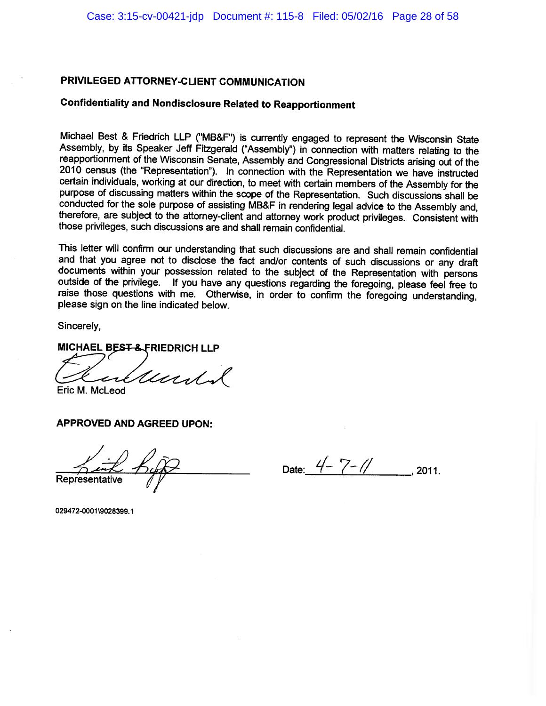# **Confidentiality and Nondisclosure Related to Reapportionment**

Michael Best & Friedrich LLP ("MB&F") is currently engaged to represent the Wisconsin State Assembly, by its Speaker Jeff Fitzgerald ("Assembly") in connection with matters relating to the reapportionment of the Wisconsin Senate, Assembly and Congressional Districts arising out of the 2010 census (the "Representation"). In connection with the Representation we have instructed certain individuals, working at our direction, to meet with certain members of the Assembly for the purpose of discussing matters within the scope of the Representation. Such discussions shall be conducted for the sole purpose of assisting MB&F in rendering legal advice to the Assembly and, therefore, are subject to the attorney-client and attorney work product privileges. Consistent with those privileges, such discussions are and shall remain confidential.

This letter will confirm our understanding that such discussions are and shall remain confidential and that you agree not to disclose the fact and/or contents of such discussions or any draft documents within your possession related to the subject of the Representation with persons outside of the privilege. If you have any questions regarding the foregoing, please feel free to raise those questions with me. Otherwise, in order to confirm the foregoing understanding, please sign on the line indicated below.

Sincerely.

**MICHAEL BEST-& FRIEDRICH LLP** 

Undal

Eric M. McLeod

**APPROVED AND AGREED UPON:** 

Representative

Date:  $4 - 7 - 11$ , 2011.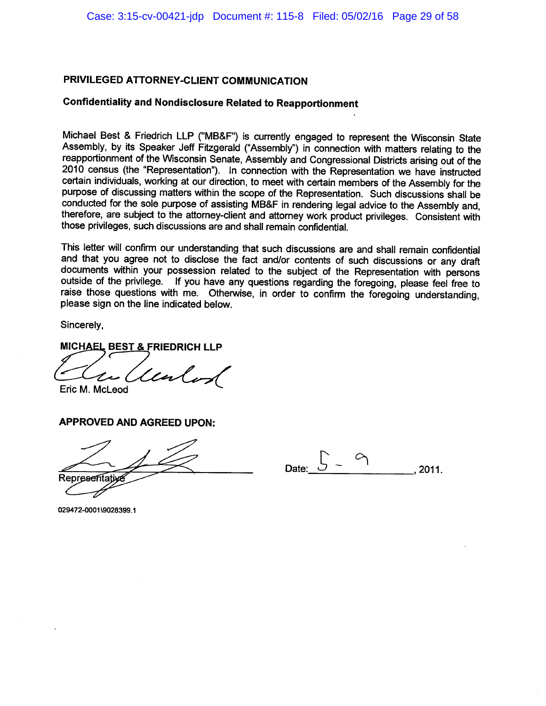# **Confidentiality and Nondisclosure Related to Reapportionment**

Michael Best & Friedrich LLP ("MB&F") is currently engaged to represent the Wisconsin State Assembly, by its Speaker Jeff Fitzgerald ("Assembly") in connection with matters relating to the reapportionment of the Wisconsin Senate, Assembly and Congressional Districts arising out of the 2010 census (the "Representation"). In connection with the Representation we have instructed certain individuals, working at our direction, to meet with certain members of the Assembly for the purpose of discussing matters within the scope of the Representation. Such discussions shall be conducted for the sole purpose of assisting MB&F in rendering legal advice to the Assembly and, therefore, are subject to the attorney-client and attorney work product privileges. Consistent with those privileges, such discussions are and shall remain confidential.

This letter will confirm our understanding that such discussions are and shall remain confidential and that you agree not to disclose the fact and/or contents of such discussions or any draft documents within your possession related to the subject of the Representation with persons outside of the privilege. If you have any questions regarding the foregoing, please feel free to raise those questions with me. Otherwise, in order to confirm the foregoing understanding. please sign on the line indicated below.

Sincerely.

MICHAEL BEST & FRIEDRICH LLP

Lenland

Eric M. McLeod

**APPROVED AND AGREED UPON:** 

Representative

2011.

029472-0001\9028399.1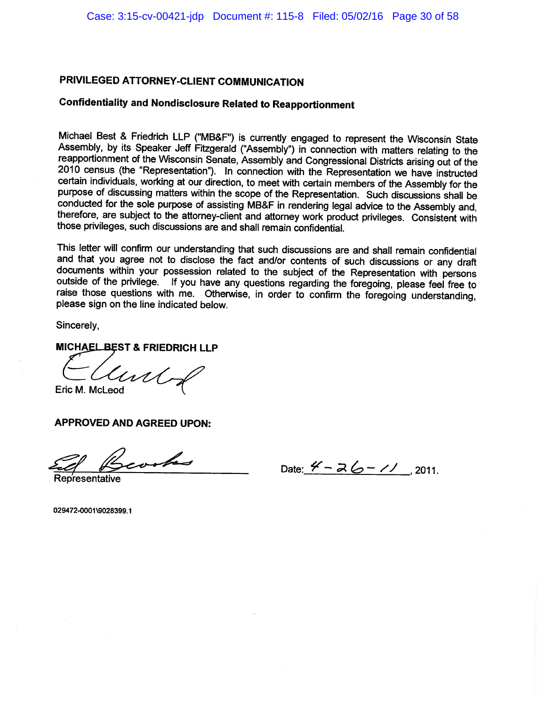# **Confidentiality and Nondisclosure Related to Reapportionment**

Michael Best & Friedrich LLP ("MB&F") is currently engaged to represent the Wisconsin State Assembly, by its Speaker Jeff Fitzgerald ("Assembly") in connection with matters relating to the reapportionment of the Wisconsin Senate, Assembly and Congressional Districts arising out of the 2010 census (the "Representation"). In connection with the Representation we have instructed certain individuals, working at our direction, to meet with certain members of the Assembly for the purpose of discussing matters within the scope of the Representation. Such discussions shall be conducted for the sole purpose of assisting MB&F in rendering legal advice to the Assembly and, therefore, are subject to the attorney-client and attorney work product privileges. Consistent with those privileges, such discussions are and shall remain confidential.

This letter will confirm our understanding that such discussions are and shall remain confidential and that you agree not to disclose the fact and/or contents of such discussions or any draft documents within your possession related to the subject of the Representation with persons outside of the privilege. If you have any questions regarding the foregoing, please feel free to raise those questions with me. Otherwise, in order to confirm the foregoing understanding, please sign on the line indicated below.

Sincerely,

### MICHAEL BEST & FRIEDRICH LLP

une Eric M. McLeod

**APPROVED AND AGREED UPON:** 

reaches

Date:  $4 - 26 - 11$ , 2011.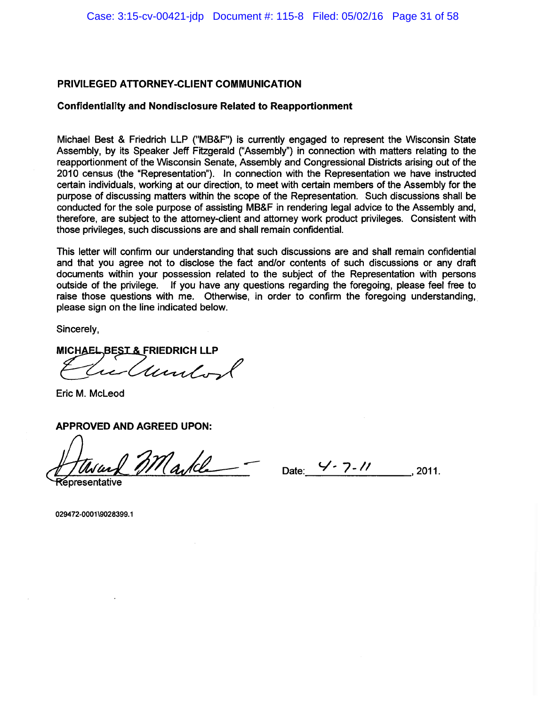### **Confidentiality and Nondisclosure Related to Reapportionment**

Michael Best & Friedrich LLP ("MB&F") is currently engaged to represent the Wisconsin State Assembly, by its Speaker Jeff Fitzgerald ("Assembly") in connection with matters relating to the reapportionment of the Wisconsin Senate, Assembly and Congressional Districts arising out of the 2010 census (the "Representation"). In connection with the Representation we have instructed certain individuals, working at our direction, to meet with certain members of the Assembly for the purpose of discussing matters within the scope of the Representation. Such discussions shall be conducted for the sole purpose of assisting MB&F in rendering legal advice to the Assembly and, therefore, are subject to the attorney-client and attorney work product privileges. Consistent with those privileges, such discussions are and shall remain confidential.

This letter will confirm our understanding that such discussions are and shall remain confidential and that you agree not to disclose the fact and/or contents of such discussions or any draft documents within your possession related to the subject of the Representation with persons outside of the privilege. If you have any questions regarding the foregoing, please feel free to raise those questions with me. Otherwise, in order to confirm the foregoing understanding. please sign on the line indicated below.

Sincerely,

MICHAEL BEST & FRIEDRICH LLP unit-

Eric M. McLeod

**APPROVED AND AGREED UPON:** 

 $m_{\alpha}$ le Date: 4-7-11, 2011.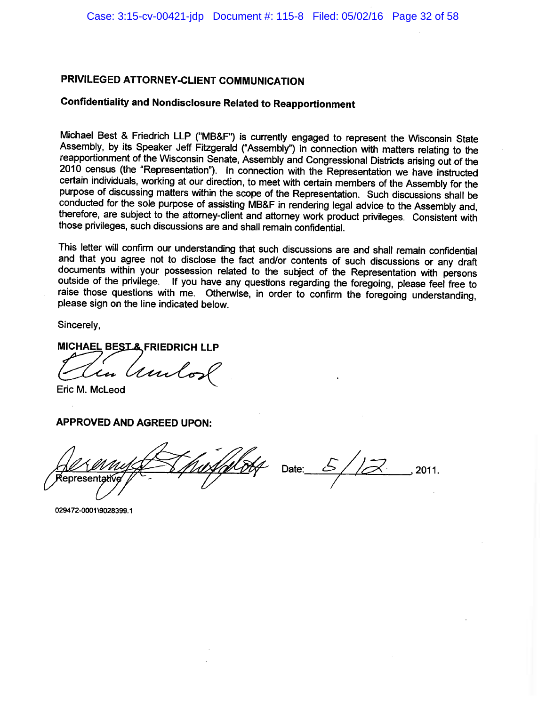# **Confidentiality and Nondisclosure Related to Reapportionment**

Michael Best & Friedrich LLP ("MB&F") is currently engaged to represent the Wisconsin State Assembly, by its Speaker Jeff Fitzgerald ("Assembly") in connection with matters relating to the reapportionment of the Wisconsin Senate, Assembly and Congressional Districts arising out of the 2010 census (the "Representation"). In connection with the Representation we have instructed certain individuals, working at our direction, to meet with certain members of the Assembly for the purpose of discussing matters within the scope of the Representation. Such discussions shall be conducted for the sole purpose of assisting MB&F in rendering legal advice to the Assembly and, therefore, are subject to the attorney-client and attorney work product privileges. Consistent with those privileges, such discussions are and shall remain confidential.

This letter will confirm our understanding that such discussions are and shall remain confidential and that you agree not to disclose the fact and/or contents of such discussions or any draft documents within your possession related to the subject of the Representation with persons outside of the privilege. If you have any questions regarding the foregoing, please feel free to raise those questions with me. Otherwise, in order to confirm the foregoing understanding, please sign on the line indicated below.

Sincerely,

#### **MICHAEL BEST& FRIEDRICH LLP**

ami  $\boldsymbol{\mathcal{L}}$ ar

Eric M. McLeod

### **APPROVED AND AGREED UPON:**

lepresentati

 $Date:$ 2011.

029472-0001\9028399.1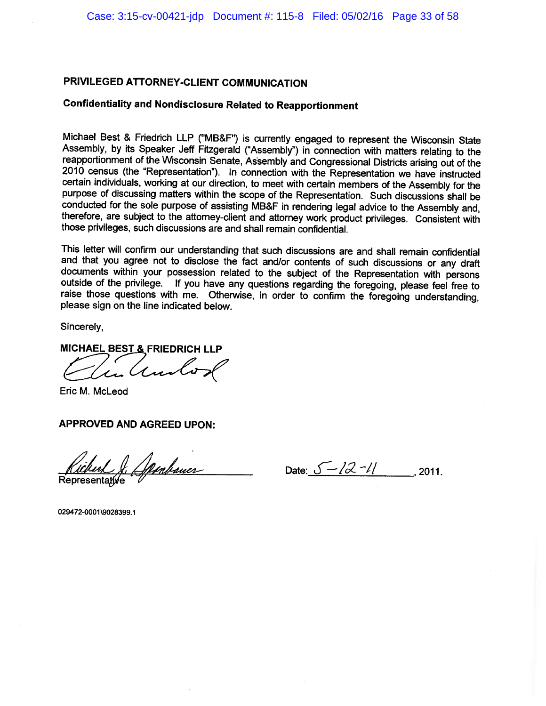# **Confidentiality and Nondisclosure Related to Reapportionment**

Michael Best & Friedrich LLP ("MB&F") is currently engaged to represent the Wisconsin State Assembly, by its Speaker Jeff Fitzgerald ("Assembly") in connection with matters relating to the reapportionment of the Wisconsin Senate, Assembly and Congressional Districts arising out of the 2010 census (the "Representation"). In connection with the Representation we have instructed certain individuals, working at our direction, to meet with certain members of the Assembly for the purpose of discussing matters within the scope of the Representation. Such discussions shall be conducted for the sole purpose of assisting MB&F in rendering legal advice to the Assembly and, therefore, are subject to the attorney-client and attorney work product privileges. Consistent with those privileges, such discussions are and shall remain confidential.

This letter will confirm our understanding that such discussions are and shall remain confidential and that you agree not to disclose the fact and/or contents of such discussions or any draft documents within your possession related to the subject of the Representation with persons outside of the privilege. If you have any questions regarding the foregoing, please feel free to raise those questions with me. Otherwise, in order to confirm the foregoing understanding. please sign on the line indicated below.

Sincerely,

MICHAEL BEST & FRIEDRICH LLP

in Ando

Eric M. McLeod

# **APPROVED AND AGREED UPON:**

J. Spenbauer Representative

Date:  $\sqrt{-22 - 11}$ , 2011.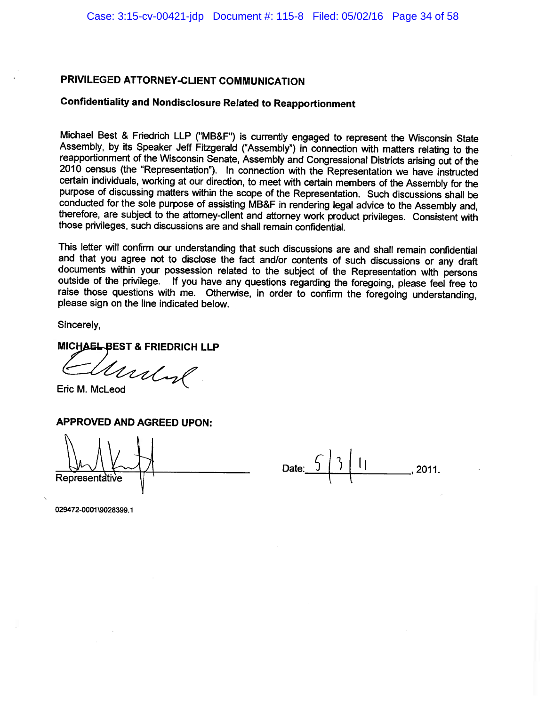# **Confidentiality and Nondisclosure Related to Reapportionment**

Michael Best & Friedrich LLP ("MB&F") is currently engaged to represent the Wisconsin State Assembly, by its Speaker Jeff Fitzgerald ("Assembly") in connection with matters relating to the reapportionment of the Wisconsin Senate, Assembly and Congressional Districts arising out of the 2010 census (the "Representation"). In connection with the Representation we have instructed certain individuals, working at our direction, to meet with certain members of the Assembly for the purpose of discussing matters within the scope of the Representation. Such discussions shall be conducted for the sole purpose of assisting MB&F in rendering legal advice to the Assembly and, therefore, are subject to the attorney-client and attorney work product privileges. Consistent with those privileges, such discussions are and shall remain confidential.

This letter will confirm our understanding that such discussions are and shall remain confidential and that you agree not to disclose the fact and/or contents of such discussions or any draft documents within your possession related to the subject of the Representation with persons outside of the privilege. If you have any questions regarding the foregoing, please feel free to raise those questions with me. Otherwise, in order to confirm the foregoing understanding, please sign on the line indicated below.

Sincerely.

**MICHAEL BEST & FRIEDRICH LLP** 

Undol

Eric M. McLeod

**APPROVED AND AGREED UPON:** 

Representative

Date:  $\frac{6}{3}$  | 1| ..., 2011.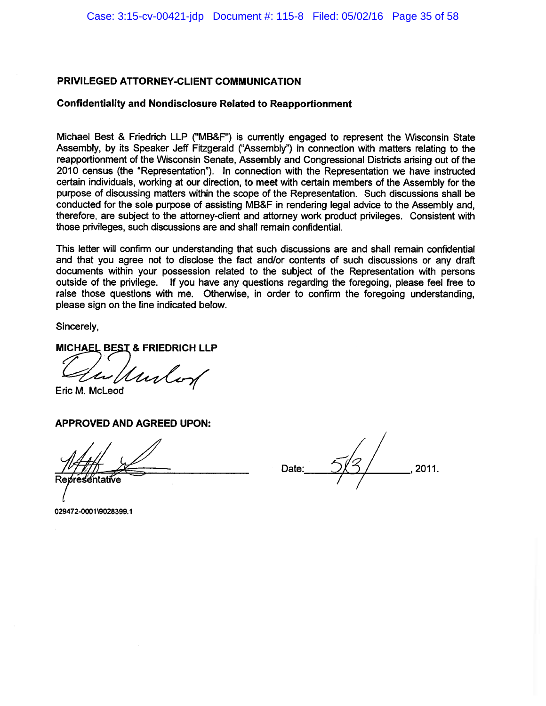#### **Confidentiality and Nondisclosure Related to Reapportionment**

Michael Best & Friedrich LLP ("MB&F") is currently engaged to represent the Wisconsin State Assembly, by its Speaker Jeff Fitzgerald ("Assembly") in connection with matters relating to the reapportionment of the Wisconsin Senate, Assembly and Congressional Districts arising out of the 2010 census (the "Representation"). In connection with the Representation we have instructed certain individuals, working at our direction, to meet with certain members of the Assembly for the purpose of discussing matters within the scope of the Representation. Such discussions shall be conducted for the sole purpose of assisting MB&F in rendering legal advice to the Assembly and. therefore, are subject to the attorney-client and attorney work product privileges. Consistent with those privileges, such discussions are and shall remain confidential.

This letter will confirm our understanding that such discussions are and shall remain confidential and that you agree not to disclose the fact and/or contents of such discussions or any draft documents within your possession related to the subject of the Representation with persons outside of the privilege. If you have any questions regarding the foregoing, please feel free to raise those questions with me. Otherwise, in order to confirm the foregoing understanding. please sign on the line indicated below.

Sincerely,

MICHAEL BEST & FRIEDRICH LLP

Unlo

Eric M. McLeod

**APPROVED AND AGREED UPON:** 

2011. Date:

029472-0001\9028399.1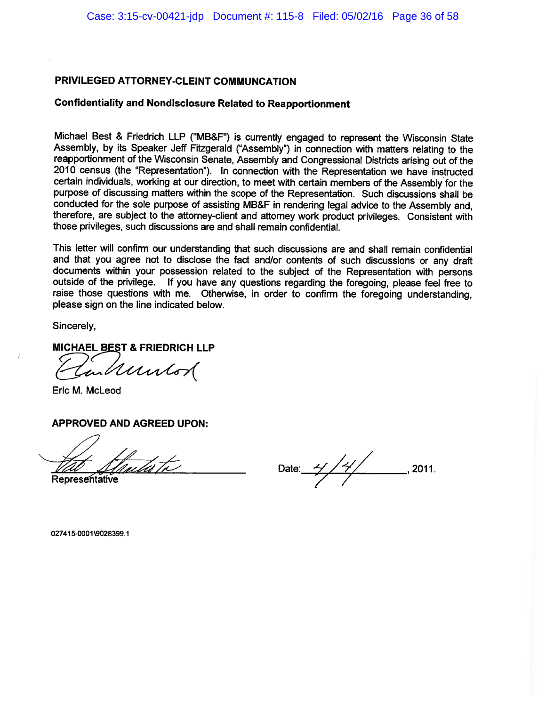## **Confidentiality and Nondisclosure Related to Reapportionment**

Michael Best & Friedrich LLP ("MB&F") is currently engaged to represent the Wisconsin State Assembly, by its Speaker Jeff Fitzgerald ("Assembly") in connection with matters relating to the reapportionment of the Wisconsin Senate, Assembly and Congressional Districts arising out of the 2010 census (the "Representation"). In connection with the Representation we have instructed certain individuals, working at our direction, to meet with certain members of the Assembly for the purpose of discussing matters within the scope of the Representation. Such discussions shall be conducted for the sole purpose of assisting MB&F in rendering legal advice to the Assembly and, therefore, are subject to the attorney-client and attorney work product privileges. Consistent with those privileges, such discussions are and shall remain confidential.

This letter will confirm our understanding that such discussions are and shall remain confidential and that you agree not to disclose the fact and/or contents of such discussions or any draft documents within your possession related to the subject of the Representation with persons outside of the privilege. If you have any questions regarding the foregoing, please feel free to raise those questions with me. Otherwise, in order to confirm the foregoing understanding. please sign on the line indicated below.

Sincerely,

MICHAEL BEST & FRIEDRICH LLP

inkuntod

Eric M. McLeod

#### **APPROVED AND AGREED UPON:**

ula tr

Representative

Date:  $\frac{1}{1}$  /  $\frac{1}{1}$  $, 2011.$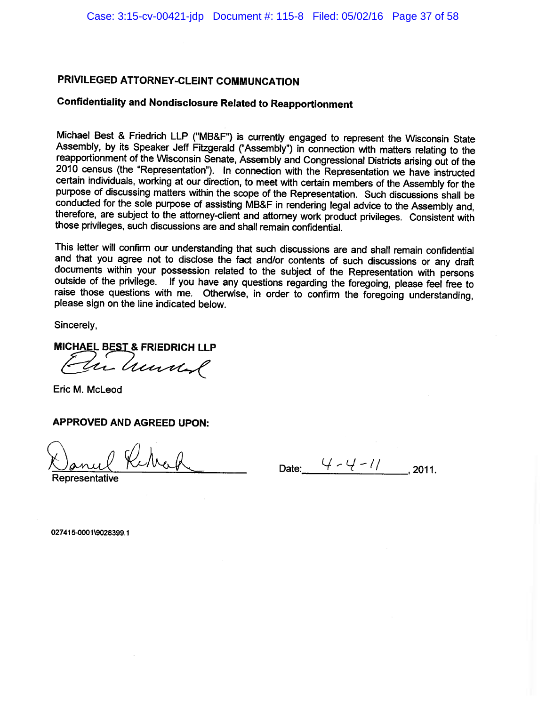# **Confidentiality and Nondisclosure Related to Reapportionment**

Michael Best & Friedrich LLP ("MB&F") is currently engaged to represent the Wisconsin State Assembly, by its Speaker Jeff Fitzgerald ("Assembly") in connection with matters relating to the reapportionment of the Wisconsin Senate, Assembly and Congressional Districts arising out of the 2010 census (the "Representation"). In connection with the Representation we have instructed certain individuals, working at our direction, to meet with certain members of the Assembly for the purpose of discussing matters within the scope of the Representation. Such discussions shall be conducted for the sole purpose of assisting MB&F in rendering legal advice to the Assembly and, therefore, are subject to the attorney-client and attorney work product privileges. Consistent with those privileges, such discussions are and shall remain confidential.

This letter will confirm our understanding that such discussions are and shall remain confidential and that you agree not to disclose the fact and/or contents of such discussions or any draft documents within your possession related to the subject of the Representation with persons outside of the privilege. If you have any questions regarding the foregoing, please feel free to raise those questions with me. Otherwise, in order to confirm the foregoing understanding, please sign on the line indicated below.

Sincerely.

**MICHAEL BEST & FRIEDRICH LLP** 

Vir hunderl

Eric M. McLeod

**APPROVED AND AGREED UPON:** 

Date:  $4 - 4 - 11$  . 2011.

epresentative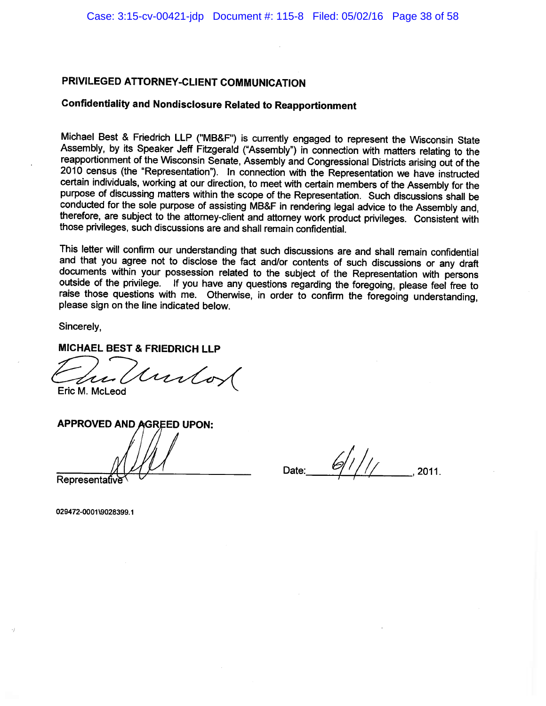## **Confidentiality and Nondisclosure Related to Reapportionment**

Michael Best & Friedrich LLP ("MB&F") is currently engaged to represent the Wisconsin State Assembly, by its Speaker Jeff Fitzgerald ("Assembly") in connection with matters relating to the reapportionment of the Wisconsin Senate, Assembly and Congressional Districts arising out of the 2010 census (the "Representation"). In connection with the Representation we have instructed certain individuals, working at our direction, to meet with certain members of the Assembly for the purpose of discussing matters within the scope of the Representation. Such discussions shall be conducted for the sole purpose of assisting MB&F in rendering legal advice to the Assembly and. therefore, are subject to the attorney-client and attorney work product privileges. Consistent with those privileges, such discussions are and shall remain confidential.

This letter will confirm our understanding that such discussions are and shall remain confidential and that you agree not to disclose the fact and/or contents of such discussions or any draft documents within your possession related to the subject of the Representation with persons outside of the privilege. If you have any questions regarding the foregoing, please feel free to raise those questions with me. Otherwise, in order to confirm the foregoing understanding, please sign on the line indicated below.

Sincerely,

## **MICHAEL BEST & FRIEDRICH LLP**

untot

Eric M. McLeod

**APPROVED AND AGREED UPON:** Representativ

Date: 2011.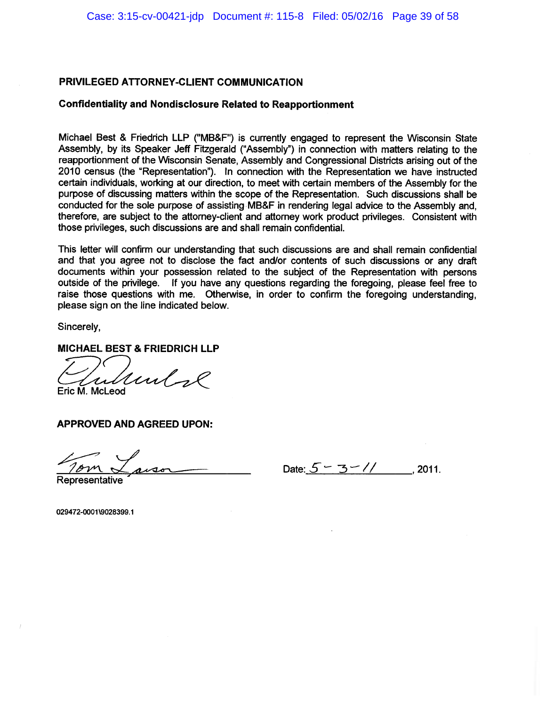#### **Confidentiality and Nondisclosure Related to Reapportionment**

Michael Best & Friedrich LLP ("MB&F") is currently engaged to represent the Wisconsin State Assembly, by its Speaker Jeff Fitzgerald ("Assembly") in connection with matters relating to the reapportionment of the Wisconsin Senate, Assembly and Congressional Districts arising out of the 2010 census (the "Representation"). In connection with the Representation we have instructed certain individuals, working at our direction, to meet with certain members of the Assembly for the purpose of discussing matters within the scope of the Representation. Such discussions shall be conducted for the sole purpose of assisting MB&F in rendering legal advice to the Assembly and, therefore. are subiect to the attorney-client and attorney work product privileges. Consistent with those privileges, such discussions are and shall remain confidential.

This letter will confirm our understanding that such discussions are and shall remain confidential and that you agree not to disclose the fact and/or contents of such discussions or any draft documents within your possession related to the subject of the Representation with persons outside of the privilege. If you have any questions regarding the foregoing, please feel free to raise those questions with me. Otherwise, in order to confirm the foregoing understanding. please sign on the line indicated below.

Sincerely,

**MICHAEL BEST & FRIEDRICH LLP** 

runlos Eric M. McLeod

**APPROVED AND AGREED UPON:** 

Date:  $5 - 3 - 7$ , 2011.

Representative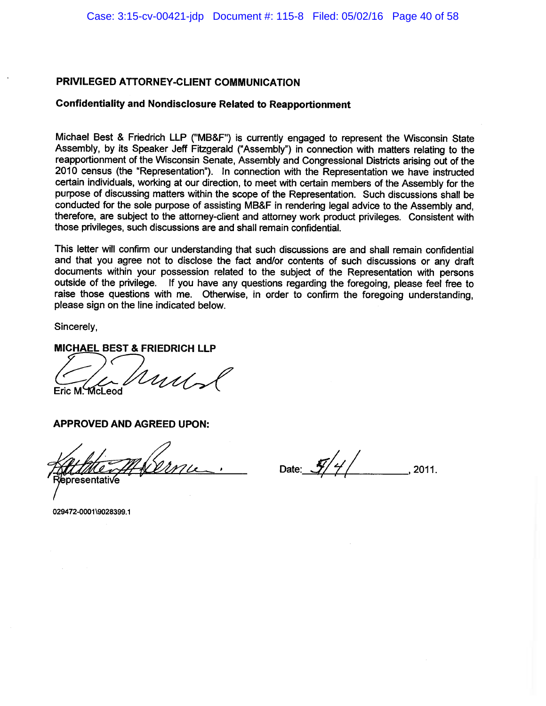### **Confidentiality and Nondisclosure Related to Reapportionment**

Michael Best & Friedrich LLP ("MB&F") is currently engaged to represent the Wisconsin State Assembly, by its Speaker Jeff Fitzgerald ("Assembly") in connection with matters relating to the reapportionment of the Wisconsin Senate, Assembly and Congressional Districts arising out of the 2010 census (the "Representation"). In connection with the Representation we have instructed certain individuals, working at our direction, to meet with certain members of the Assembly for the purpose of discussing matters within the scope of the Representation. Such discussions shall be conducted for the sole purpose of assisting MB&F in rendering legal advice to the Assembly and, therefore, are subject to the attorney-client and attorney work product privileges. Consistent with those privileges, such discussions are and shall remain confidential.

This letter will confirm our understanding that such discussions are and shall remain confidential and that you agree not to disclose the fact and/or contents of such discussions or any draft documents within your possession related to the subject of the Representation with persons outside of the privilege. If you have any questions regarding the foregoing, please feel free to raise those questions with me. Otherwise, in order to confirm the foregoing understanding, please sign on the line indicated below.

Sincerely,

MICHAEL BEST & FRIEDRICH LLP

 $1111$ Eric M. McLeod

**APPROVED AND AGREED UPON:** 

presentati√e

Date:  $\frac{1}{2}$ /4/ 2011.

029472-0001\9028399.1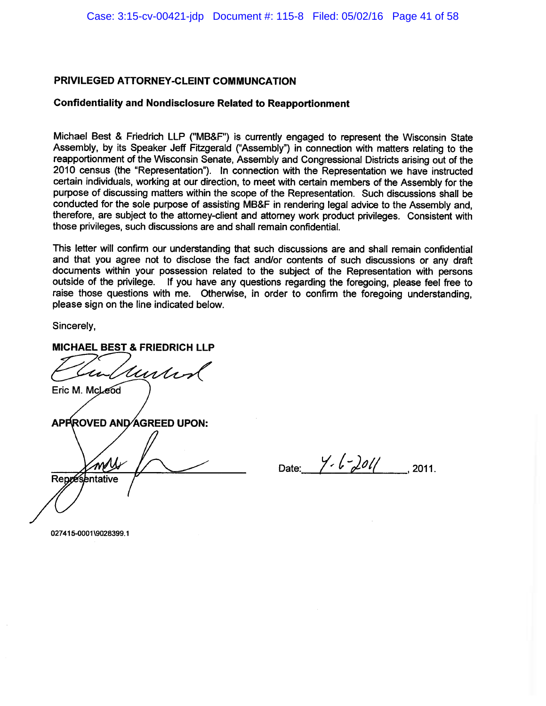### **Confidentiality and Nondisclosure Related to Reapportionment**

Michael Best & Friedrich LLP ("MB&F") is currently engaged to represent the Wisconsin State Assembly, by its Speaker Jeff Fitzgerald ("Assembly") in connection with matters relating to the reapportionment of the Wisconsin Senate, Assembly and Congressional Districts arising out of the 2010 census (the "Representation"). In connection with the Representation we have instructed certain individuals, working at our direction, to meet with certain members of the Assembly for the purpose of discussing matters within the scope of the Representation. Such discussions shall be conducted for the sole purpose of assisting MB&F in rendering legal advice to the Assembly and, therefore, are subject to the attorney-client and attorney work product privileges. Consistent with those privileges, such discussions are and shall remain confidential.

This letter will confirm our understanding that such discussions are and shall remain confidential and that you agree not to disclose the fact and/or contents of such discussions or any draft documents within your possession related to the subject of the Representation with persons outside of the privilege. If you have any questions regarding the foregoing, please feel free to raise those questions with me. Otherwise, in order to confirm the foregoing understanding. please sign on the line indicated below.

Sincerely,

MICHAEL BEST & FRIEDRICH LLP

Undan

Eric M. McLeod

APPROVED AND AGREED UPON:

mM Représentative

Date:  $\frac{y}{c} \frac{1}{c^2}$  2011.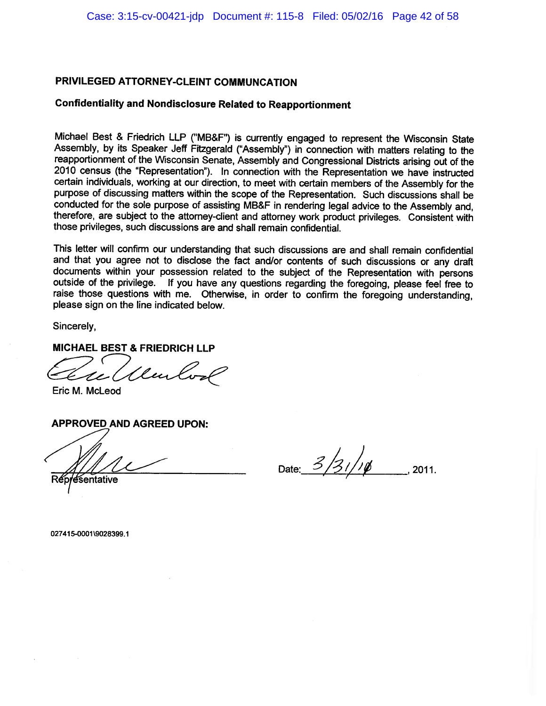## **Confidentiality and Nondisclosure Related to Reapportionment**

Michael Best & Friedrich LLP ("MB&F") is currently engaged to represent the Wisconsin State Assembly, by its Speaker Jeff Fitzgerald ("Assembly") in connection with matters relating to the reapportionment of the Wisconsin Senate, Assembly and Congressional Districts arising out of the 2010 census (the "Representation"). In connection with the Representation we have instructed certain individuals, working at our direction, to meet with certain members of the Assembly for the purpose of discussing matters within the scope of the Representation. Such discussions shall be conducted for the sole purpose of assisting MB&F in rendering legal advice to the Assembly and, therefore, are subject to the attorney-client and attorney work product privileges. Consistent with those privileges, such discussions are and shall remain confidential.

This letter will confirm our understanding that such discussions are and shall remain confidential and that you agree not to disclose the fact and/or contents of such discussions or any draft documents within your possession related to the subject of the Representation with persons outside of the privilege. If you have any questions regarding the foregoing, please feel free to raise those questions with me. Otherwise, in order to confirm the foregoing understanding, please sign on the line indicated below.

Sincerely,

### **MICHAEL BEST & FRIEDRICH LLP**

Mentos

Eric M. McLeod

### **APPROVED AND AGREED UPON:**

Date:  $3/31/10$ 2011.

sentative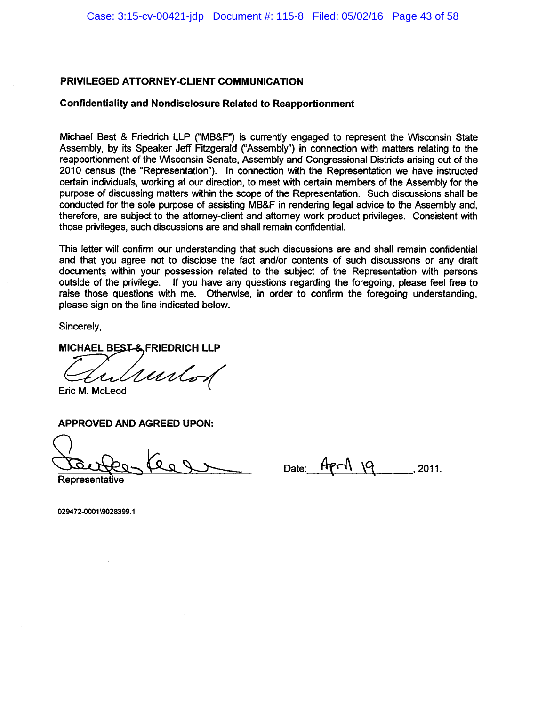#### **Confidentiality and Nondisclosure Related to Reapportionment**

Michael Best & Friedrich LLP ("MB&F") is currently engaged to represent the Wisconsin State Assembly, by its Speaker Jeff Fitzgerald ("Assembly") in connection with matters relating to the reapportionment of the Wisconsin Senate, Assembly and Congressional Districts arising out of the 2010 census (the "Representation"). In connection with the Representation we have instructed certain individuals, working at our direction, to meet with certain members of the Assembly for the purpose of discussing matters within the scope of the Representation. Such discussions shall be conducted for the sole purpose of assisting MB&F in rendering legal advice to the Assembly and. therefore, are subject to the attorney-client and attorney work product privileges. Consistent with those privileges, such discussions are and shall remain confidential.

This letter will confirm our understanding that such discussions are and shall remain confidential and that you agree not to disclose the fact and/or contents of such discussions or any draft documents within your possession related to the subject of the Representation with persons outside of the privilege. If you have any questions regarding the foregoing, please feel free to raise those questions with me. Otherwise, in order to confirm the foregoing understanding, please sign on the line indicated below.

Sincerely,

MICHAEL BEST-& FRIEDRICH LLP

untod

Eric M. McLeod

**APPROVED AND AGREED UPON:** 

Date:  $H$  $P$  $N$   $Q$  $.2011.$ 

Representative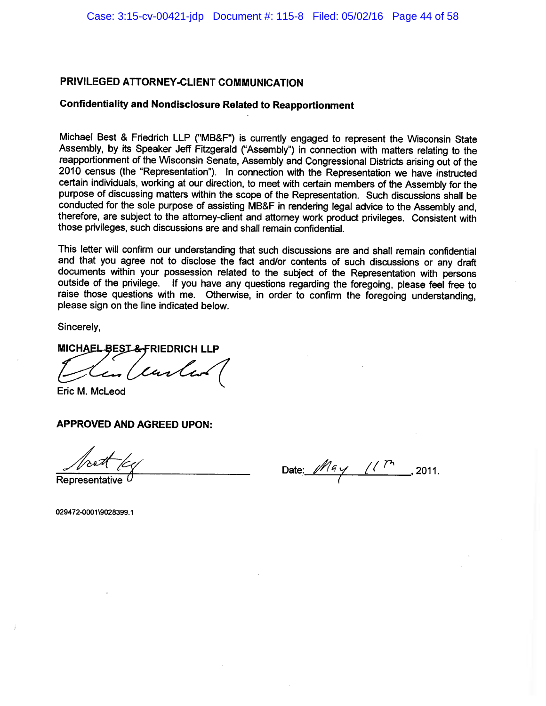## **Confidentiality and Nondisclosure Related to Reapportionment**

Michael Best & Friedrich LLP ("MB&F") is currently engaged to represent the Wisconsin State Assembly, by its Speaker Jeff Fitzgerald ("Assembly") in connection with matters relating to the reapportionment of the Wisconsin Senate, Assembly and Congressional Districts arising out of the 2010 census (the "Representation"). In connection with the Representation we have instructed certain individuals, working at our direction, to meet with certain members of the Assembly for the purpose of discussing matters within the scope of the Representation. Such discussions shall be conducted for the sole purpose of assisting MB&F in rendering legal advice to the Assembly and. therefore, are subject to the attorney-client and attorney work product privileges. Consistent with those privileges, such discussions are and shall remain confidential.

This letter will confirm our understanding that such discussions are and shall remain confidential and that you agree not to disclose the fact and/or contents of such discussions or any draft documents within your possession related to the subject of the Representation with persons outside of the privilege. If you have any questions regarding the foregoing, please feel free to raise those questions with me. Otherwise, in order to confirm the foregoing understanding, please sign on the line indicated below.

Sincerely.

# MICHAEL BEST&FRIEDRICH LLP

en (carles

Eric M. McLeod

### **APPROVED AND AGREED UPON:**

Date:  $May$  (1<sup>Th</sup>, 2011.

Representative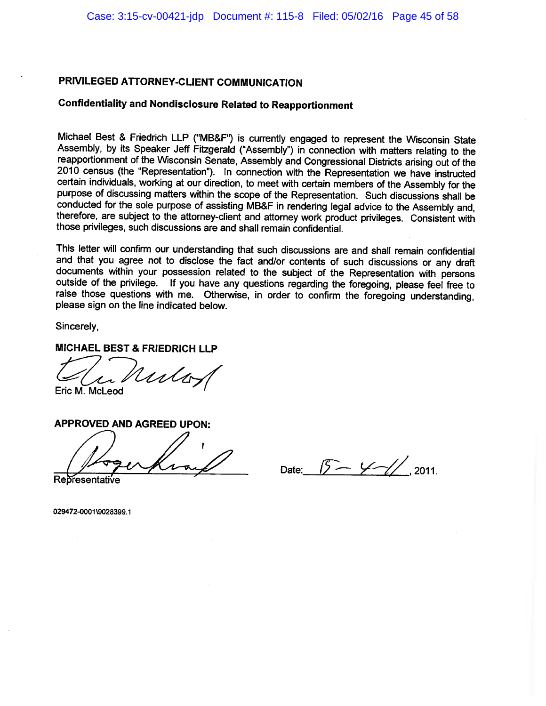### **Confidentiality and Nondisclosure Related to Reapportionment**

Michael Best & Friedrich LLP ("MB&F") is currently engaged to represent the Wisconsin State Assembly, by its Speaker Jeff Fitzgerald ("Assembly") in connection with matters relating to the reapportionment of the Wisconsin Senate, Assembly and Congressional Districts arising out of the 2010 census (the "Representation"). In connection with the Representation we have instructed certain individuals, working at our direction, to meet with certain members of the Assembly for the purpose of discussing matters within the scope of the Representation. Such discussions shall be conducted for the sole purpose of assisting MB&F in rendering legal advice to the Assembly and. therefore, are subject to the attorney-client and attorney work product privileges. Consistent with those privileges, such discussions are and shall remain confidential.

This letter will confirm our understanding that such discussions are and shall remain confidential and that you agree not to disclose the fact and/or contents of such discussions or any draft documents within your possession related to the subject of the Representation with persons outside of the privilege. If you have any questions regarding the foregoing, please feel free to raise those questions with me. Otherwise, in order to confirm the foregoing understanding, please sign on the line indicated below.

Sincerely,

## **MICHAEL BEST & FRIEDRICH LLP**

Unlay Eric M. McLeod

**APPROVED AND AGREED UPON: Representative** 

Date:  $5 - \frac{1}{10}$  2011.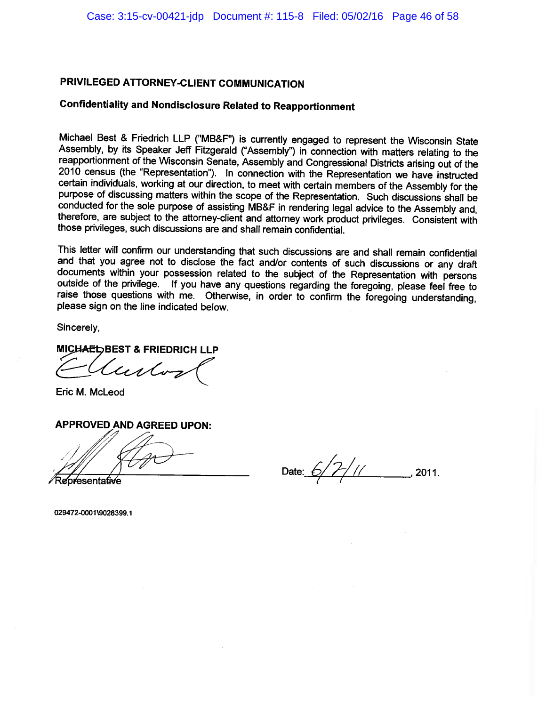# **Confidentiality and Nondisclosure Related to Reapportionment**

Michael Best & Friedrich LLP ("MB&F") is currently engaged to represent the Wisconsin State Assembly, by its Speaker Jeff Fitzgerald ("Assembly") in connection with matters relating to the reapportionment of the Wisconsin Senate, Assembly and Congressional Districts arising out of the 2010 census (the "Representation"). In connection with the Representation we have instructed certain individuals, working at our direction, to meet with certain members of the Assembly for the purpose of discussing matters within the scope of the Representation. Such discussions shall be conducted for the sole purpose of assisting MB&F in rendering legal advice to the Assembly and, therefore, are subject to the attorney-client and attorney work product privileges. Consistent with those privileges, such discussions are and shall remain confidential.

This letter will confirm our understanding that such discussions are and shall remain confidential and that you agree not to disclose the fact and/or contents of such discussions or any draft documents within your possession related to the subject of the Representation with persons outside of the privilege. If you have any questions regarding the foregoing, please feel free to raise those questions with me. Otherwise, in order to confirm the foregoing understanding, please sign on the line indicated below.

Sincerely,

### **MICHAEL BEST & FRIEDRICH LLP**

lustos

Eric M. McLeod

### **APPROVED AND AGREED UPON:**

≷e⁄presentative

Date: 6/7/11 2011.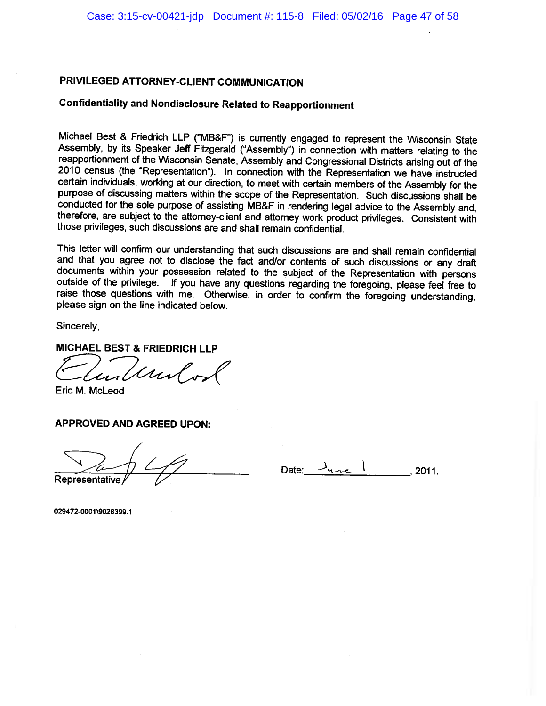# **Confidentiality and Nondisclosure Related to Reapportionment**

Michael Best & Friedrich LLP ("MB&F") is currently engaged to represent the Wisconsin State Assembly, by its Speaker Jeff Fitzgerald ("Assembly") in connection with matters relating to the reapportionment of the Wisconsin Senate, Assembly and Congressional Districts arising out of the 2010 census (the "Representation"). In connection with the Representation we have instructed certain individuals, working at our direction, to meet with certain members of the Assembly for the purpose of discussing matters within the scope of the Representation. Such discussions shall be conducted for the sole purpose of assisting MB&F in rendering legal advice to the Assembly and. therefore, are subject to the attorney-client and attorney work product privileges. Consistent with those privileges, such discussions are and shall remain confidential.

This letter will confirm our understanding that such discussions are and shall remain confidential and that you agree not to disclose the fact and/or contents of such discussions or any draft documents within your possession related to the subject of the Representation with persons outside of the privilege. If you have any questions regarding the foregoing, please feel free to raise those questions with me. Otherwise, in order to confirm the foregoing understanding, please sign on the line indicated below.

Sincerely,

### **MICHAEL BEST & FRIEDRICH LLP**

I und or

Eric M. McLeod

#### **APPROVED AND AGREED UPON:**

Representative

Date: 2011.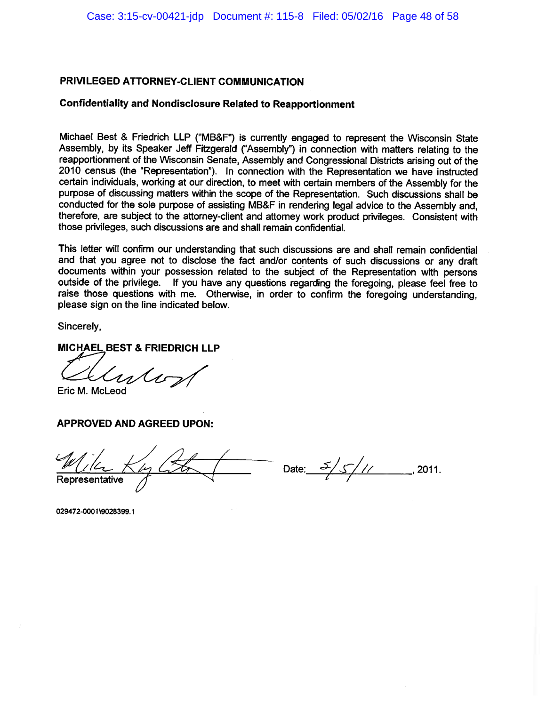#### **Confidentiality and Nondisclosure Related to Reapportionment**

Michael Best & Friedrich LLP ("MB&F") is currently engaged to represent the Wisconsin State Assembly, by its Speaker Jeff Fitzgerald ("Assembly") in connection with matters relating to the reapportionment of the Wisconsin Senate, Assembly and Congressional Districts arising out of the 2010 census (the "Representation"). In connection with the Representation we have instructed certain individuals, working at our direction, to meet with certain members of the Assembly for the purpose of discussing matters within the scope of the Representation. Such discussions shall be conducted for the sole purpose of assisting MB&F in rendering legal advice to the Assembly and, therefore, are subject to the attorney-client and attorney work product privileges. Consistent with those privileges, such discussions are and shall remain confidential.

This letter will confirm our understanding that such discussions are and shall remain confidential and that you agree not to disclose the fact and/or contents of such discussions or any draft documents within your possession related to the subject of the Representation with persons outside of the privilege. If you have any questions regarding the foregoing, please feel free to raise those questions with me. Otherwise, in order to confirm the foregoing understanding, please sign on the line indicated below.

Sincerely,

**MICHAEL BEST & FRIEDRICH LLP** 

Croslos

Eric M. McLeod

**APPROVED AND AGREED UPON:** 

Representative

Date:  $\frac{5}{\sqrt{11}}$ , 2011.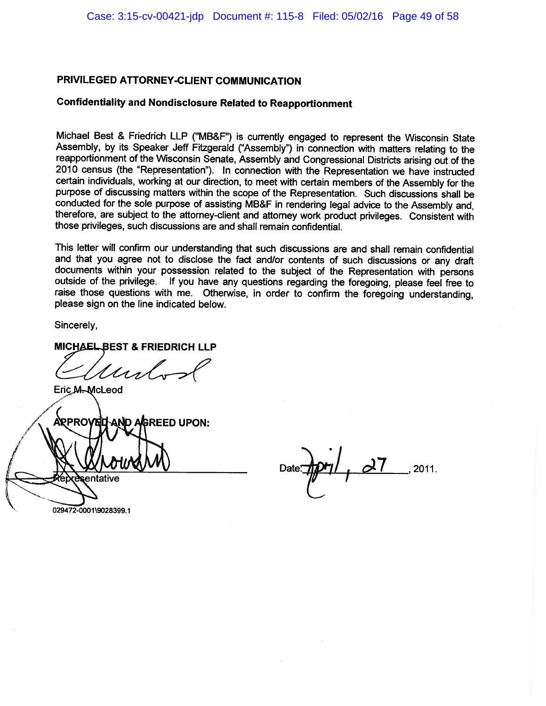# **Confidentiality and Nondisclosure Related to Reapportionment**

Michael Best & Friedrich LLP ("MB&F") is currently engaged to represent the Wisconsin State Assembly, by its Speaker Jeff Fitzgerald ("Assembly") in connection with matters relating to the reapportionment of the Wisconsin Senate, Assembly and Congressional Districts arising out of the 2010 census (the "Representation"). In connection with the Representation we have instructed certain individuals, working at our direction, to meet with certain members of the Assembly for the purpose of discussing matters within the scope of the Representation. Such discussions shall be conducted for the sole purpose of assisting MB&F in rendering legal advice to the Assembly and, therefore, are subject to the attorney-client and attorney work product privileges. Consistent with those privileges, such discussions are and shall remain confidential.

This letter will confirm our understanding that such discussions are and shall remain confidential and that you agree not to disclose the fact and/or contents of such discussions or any draft documents within your possession related to the subject of the Representation with persons outside of the privilege. If you have any questions regarding the foregoing, please feel free to raise those questions with me. Otherwise, in order to confirm the foregoing understanding. please sign on the line indicated below.

Sincerely,

MICHAEL BEST & FRIEDRICH LLP

Uisl

Eric M-McLeod

**ARPRO\** AND AGREED UPON: sentative

2011.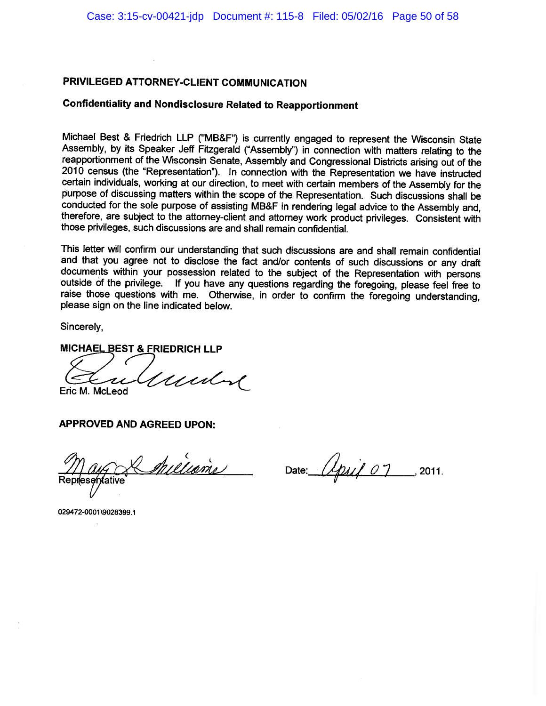# **Confidentiality and Nondisclosure Related to Reapportionment**

Michael Best & Friedrich LLP ("MB&F") is currently engaged to represent the Wisconsin State Assembly, by its Speaker Jeff Fitzgerald ("Assembly") in connection with matters relating to the reapportionment of the Wisconsin Senate, Assembly and Congressional Districts arising out of the 2010 census (the "Representation"). In connection with the Representation we have instructed certain individuals, working at our direction, to meet with certain members of the Assembly for the purpose of discussing matters within the scope of the Representation. Such discussions shall be conducted for the sole purpose of assisting MB&F in rendering legal advice to the Assembly and. therefore, are subject to the attorney-client and attorney work product privileges. Consistent with those privileges, such discussions are and shall remain confidential.

This letter will confirm our understanding that such discussions are and shall remain confidential and that you agree not to disclose the fact and/or contents of such discussions or any draft documents within your possession related to the subject of the Representation with persons outside of the privilege. If you have any questions regarding the foregoing, please feel free to raise those questions with me. Otherwise, in order to confirm the foregoing understanding, please sign on the line indicated below.

Sincerely.

MICHAEL BEST & FRIEDRICH LLP

Irentine Eric M. McLeod

**APPROVED AND AGREED UPON:** 

Iniliams Representative

Date:  $\mu_{\text{rel}}$  07 2011.

029472-0001\9028399.1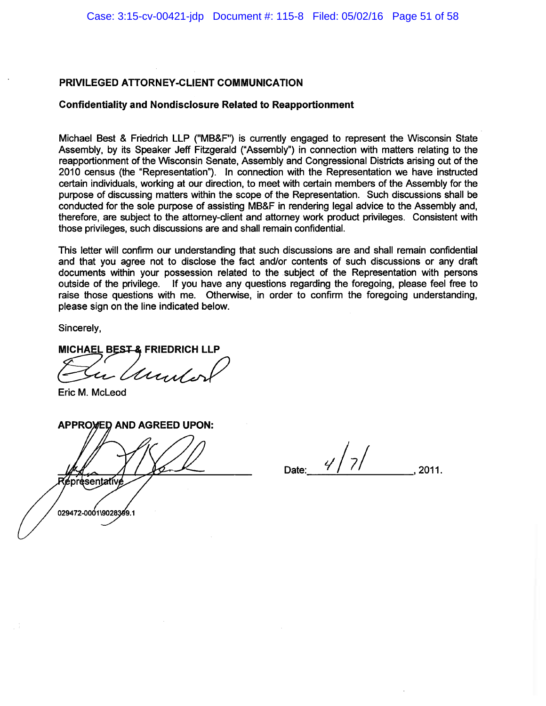#### **Confidentiality and Nondisclosure Related to Reapportionment**

Michael Best & Friedrich LLP ("MB&F") is currently engaged to represent the Wisconsin State Assembly, by its Speaker Jeff Fitzgerald ("Assembly") in connection with matters relating to the reapportionment of the Wisconsin Senate, Assembly and Congressional Districts arising out of the 2010 census (the "Representation"). In connection with the Representation we have instructed certain individuals, working at our direction, to meet with certain members of the Assembly for the purpose of discussing matters within the scope of the Representation. Such discussions shall be conducted for the sole purpose of assisting MB&F in rendering legal advice to the Assembly and, therefore, are subject to the attorney-client and attorney work product privileges. Consistent with those privileges, such discussions are and shall remain confidential.

This letter will confirm our understanding that such discussions are and shall remain confidential and that you agree not to disclose the fact and/or contents of such discussions or any draft documents within your possession related to the subject of the Representation with persons outside of the privilege. If you have any questions regarding the foregoing, please feel free to raise those questions with me. Otherwise, in order to confirm the foregoing understanding, please sign on the line indicated below.

Sincerely,

MICHAEL BEST & FRIEDRICH LLP

Unit.

Eric M. McLeod

**APPROVED AND AGREED UPON:** sentativ 029472-0001\9028399.1

Date: 2011.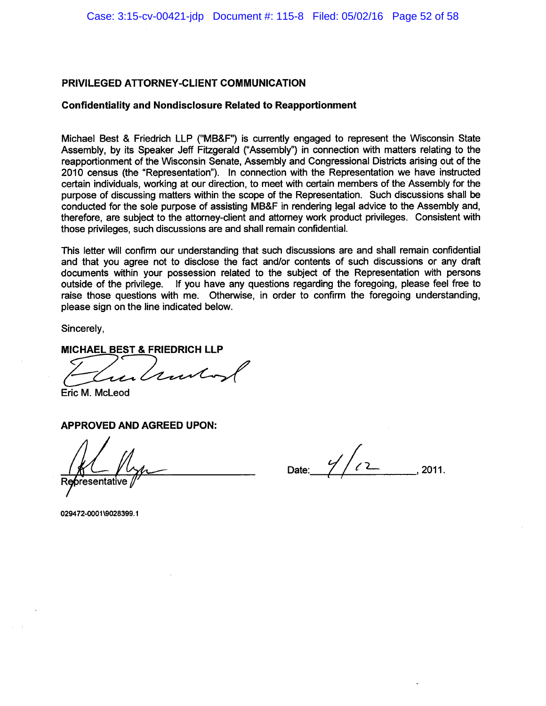#### **Confidentiality and Nondisclosure Related to Reapportionment**

Michael Best & Friedrich LLP ("MB&F") is currently engaged to represent the Wisconsin State Assembly, by its Speaker Jeff Fitzgerald ("Assembly") in connection with matters relating to the reapportionment of the Wisconsin Senate, Assembly and Congressional Districts arising out of the 2010 census (the "Representation"). In connection with the Representation we have instructed certain individuals, working at our direction, to meet with certain members of the Assembly for the purpose of discussing matters within the scope of the Representation. Such discussions shall be conducted for the sole purpose of assisting MB&F in rendering legal advice to the Assembly and, therefore, are subject to the attorney-client and attorney work product privileges. Consistent with those privileges, such discussions are and shall remain confidential.

This letter will confirm our understanding that such discussions are and shall remain confidential and that you agree not to disclose the fact and/or contents of such discussions or any draft documents within your possession related to the subject of the Representation with persons outside of the privilege. If you have any questions regarding the foregoing, please feel free to raise those questions with me. Otherwise, in order to confirm the foregoing understanding, please sign on the line indicated below.

Sincerely,

### **MICHAEL BEST & FRIEDRICH LLP**

Eric M. McLeod

#### **APPROVED AND AGREED UPON:**

Date: 2011.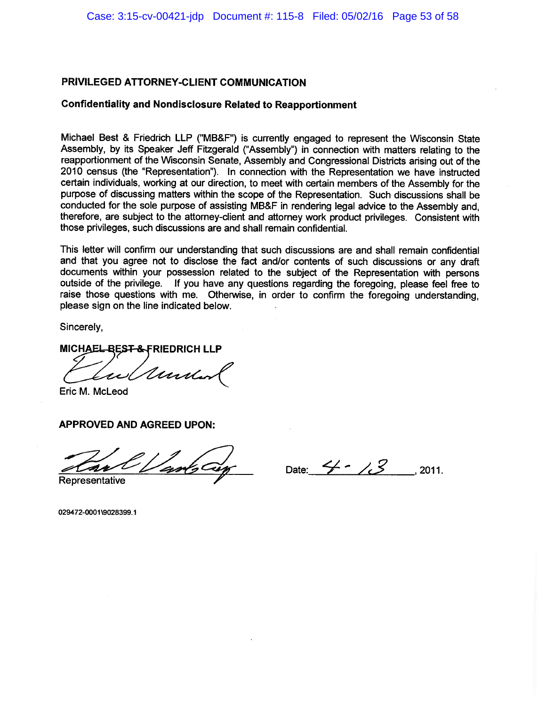#### **Confidentiality and Nondisclosure Related to Reapportionment**

Michael Best & Friedrich LLP ("MB&F") is currently engaged to represent the Wisconsin State Assembly, by its Speaker Jeff Fitzgerald ("Assembly") in connection with matters relating to the reapportionment of the Wisconsin Senate. Assembly and Congressional Districts arising out of the 2010 census (the "Representation"). In connection with the Representation we have instructed certain individuals, working at our direction, to meet with certain members of the Assembly for the purpose of discussing matters within the scope of the Representation. Such discussions shall be conducted for the sole purpose of assisting MB&F in rendering legal advice to the Assembly and, therefore, are subject to the attorney-client and attorney work product privileges. Consistent with those privileges, such discussions are and shall remain confidential.

This letter will confirm our understanding that such discussions are and shall remain confidential and that you agree not to disclose the fact and/or contents of such discussions or any draft documents within your possession related to the subject of the Representation with persons outside of the privilege. If you have any questions regarding the foregoing, please feel free to raise those questions with me. Otherwise, in order to confirm the foregoing understanding. please sign on the line indicated below.

Sincerely.

MICHAEL BEST & FRIEDRICH LLP

Under

Eric M. McLeod

**APPROVED AND AGREED UPON:** 

Date:  $4 - 13$ , 2011.

Representative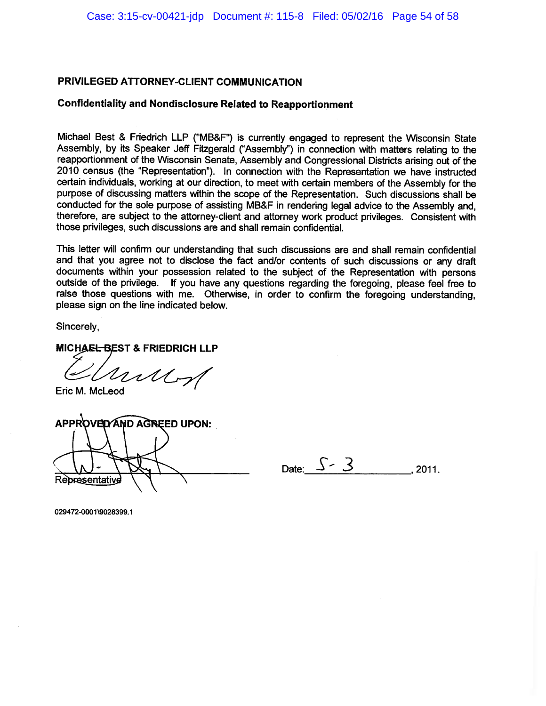### **Confidentiality and Nondisclosure Related to Reapportionment**

Michael Best & Friedrich LLP ("MB&F") is currently engaged to represent the Wisconsin State Assembly, by its Speaker Jeff Fitzgerald ("Assembly") in connection with matters relating to the reapportionment of the Wisconsin Senate. Assembly and Congressional Districts arising out of the 2010 census (the "Representation"). In connection with the Representation we have instructed certain individuals, working at our direction, to meet with certain members of the Assembly for the purpose of discussing matters within the scope of the Representation. Such discussions shall be conducted for the sole purpose of assisting MB&F in rendering legal advice to the Assembly and, therefore, are subject to the attorney-client and attorney work product privileges. Consistent with those privileges, such discussions are and shall remain confidential.

This letter will confirm our understanding that such discussions are and shall remain confidential and that you agree not to disclose the fact and/or contents of such discussions or any draft documents within your possession related to the subject of the Representation with persons outside of the privilege. If you have any questions regarding the foregoing, please feel free to raise those questions with me. Otherwise, in order to confirm the foregoing understanding, please sign on the line indicated below.

Sincerely,

#### MICHAEL BEST & FRIEDRICH LLP

muy

Eric M. McLeod

APPROVED AND AGREED UPON: Rebresentativ

Date:  $S - 3$ 2011.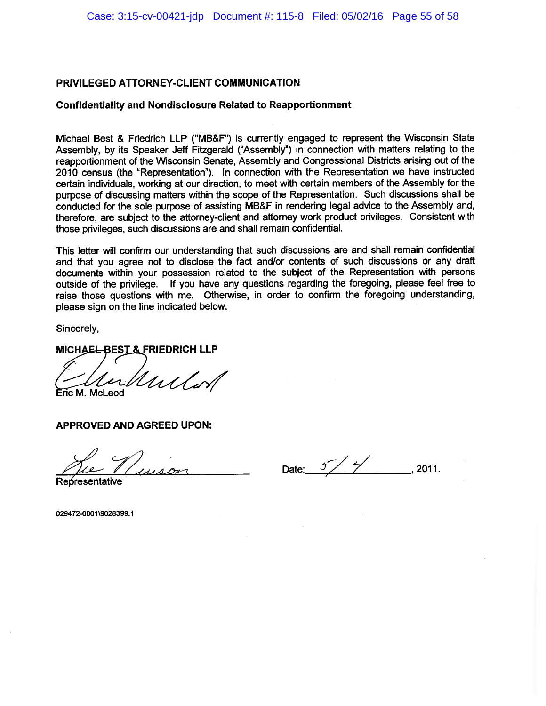#### **Confidentiality and Nondisclosure Related to Reapportionment**

Michael Best & Friedrich LLP ("MB&F") is currently engaged to represent the Wisconsin State Assembly, by its Speaker Jeff Fitzgerald ("Assembly") in connection with matters relating to the reapportionment of the Wisconsin Senate, Assembly and Congressional Districts arising out of the 2010 census (the "Representation"). In connection with the Representation we have instructed certain individuals, working at our direction, to meet with certain members of the Assembly for the purpose of discussing matters within the scope of the Representation. Such discussions shall be conducted for the sole purpose of assisting MB&F in rendering legal advice to the Assembly and, therefore, are subject to the attorney-client and attorney work product privileges. Consistent with those privileges, such discussions are and shall remain confidential.

This letter will confirm our understanding that such discussions are and shall remain confidential and that you agree not to disclose the fact and/or contents of such discussions or any draft documents within your possession related to the subject of the Representation with persons outside of the privilege. If you have any questions regarding the foregoing, please feel free to raise those questions with me. Otherwise, in order to confirm the foregoing understanding, please sign on the line indicated below.

Sincerely,

#### MICHAEL-BEST & FRIEDRICH LLP

Unlor Eric M. McLeod

**APPROVED AND AGREED UPON:** 

Date:  $5\frac{1}{2}$ 2011.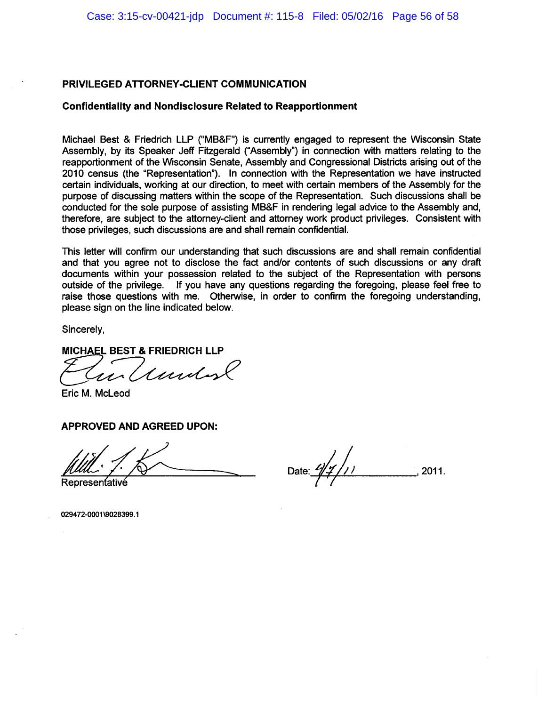### **Confidentiality and Nondisclosure Related to Reapportionment**

Michael Best & Friedrich LLP ("MB&F") is currently engaged to represent the Wisconsin State Assembly, by its Speaker Jeff Fitzgerald ("Assembly") in connection with matters relating to the reapportionment of the Wisconsin Senate, Assembly and Congressional Districts arising out of the 2010 census (the "Representation"). In connection with the Representation we have instructed certain individuals, working at our direction, to meet with certain members of the Assembly for the purpose of discussing matters within the scope of the Representation. Such discussions shall be conducted for the sole purpose of assisting MB&F in rendering legal advice to the Assembly and. therefore, are subject to the attorney-client and attorney work product privileges. Consistent with those privileges, such discussions are and shall remain confidential.

This letter will confirm our understanding that such discussions are and shall remain confidential and that you agree not to disclose the fact and/or contents of such discussions or any draft documents within your possession related to the subject of the Representation with persons outside of the privilege. If you have any questions regarding the foregoing, please feel free to raise those questions with me. Otherwise, in order to confirm the foregoing understanding. please sign on the line indicated below.

Sincerely.

**MICHAEL BEST & FRIEDRICH LLP** 

*I undon* 

Eric M. McLeod

### **APPROVED AND AGREED UPON:**

2011.

Representativé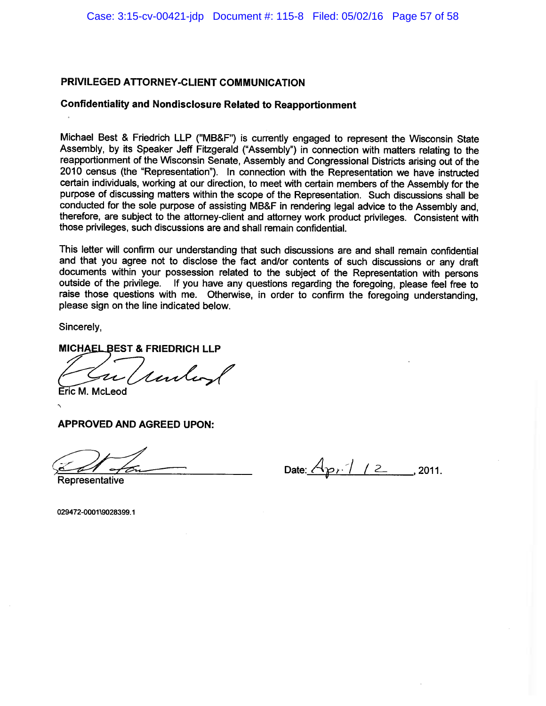#### **Confidentiality and Nondisclosure Related to Reapportionment**

Michael Best & Friedrich LLP ("MB&F") is currently engaged to represent the Wisconsin State Assembly, by its Speaker Jeff Fitzgerald ("Assembly") in connection with matters relating to the reapportionment of the Wisconsin Senate, Assembly and Congressional Districts arising out of the 2010 census (the "Representation"). In connection with the Representation we have instructed certain individuals, working at our direction, to meet with certain members of the Assembly for the purpose of discussing matters within the scope of the Representation. Such discussions shall be conducted for the sole purpose of assisting MB&F in rendering legal advice to the Assembly and. therefore, are subject to the attorney-client and attorney work product privileges. Consistent with those privileges, such discussions are and shall remain confidential.

This letter will confirm our understanding that such discussions are and shall remain confidential and that you agree not to disclose the fact and/or contents of such discussions or any draft documents within your possession related to the subject of the Representation with persons outside of the privilege. If you have any questions regarding the foregoing, please feel free to raise those questions with me. Otherwise, in order to confirm the foregoing understanding, please sign on the line indicated below.

Sincerely.

#### **MICHAEL BEST & FRIEDRICH LLP**

rubers

Eric M. McLeod

**APPROVED AND AGREED UPON:** 

Date:  $\{A_{p}, 1 \neq 2, \ldots, 2011\}$ 

Representative